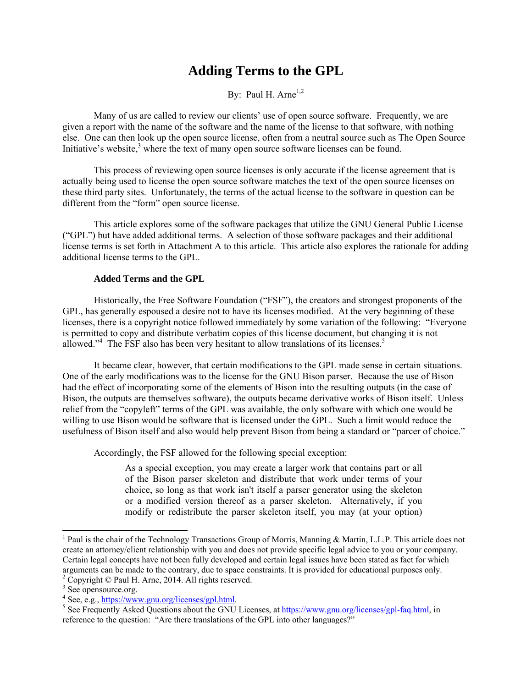# **Adding Terms to the GPL**

By: Paul H. Arne<sup>1,2</sup>

Many of us are called to review our clients' use of open source software. Frequently, we are given a report with the name of the software and the name of the license to that software, with nothing else. One can then look up the open source license, often from a neutral source such as The Open Source Initiative's website, $3$  where the text of many open source software licenses can be found.

This process of reviewing open source licenses is only accurate if the license agreement that is actually being used to license the open source software matches the text of the open source licenses on these third party sites. Unfortunately, the terms of the actual license to the software in question can be different from the "form" open source license.

This article explores some of the software packages that utilize the GNU General Public License ("GPL") but have added additional terms. A selection of those software packages and their additional license terms is set forth in Attachment A to this article. This article also explores the rationale for adding additional license terms to the GPL.

#### **Added Terms and the GPL**

Historically, the Free Software Foundation ("FSF"), the creators and strongest proponents of the GPL, has generally espoused a desire not to have its licenses modified. At the very beginning of these licenses, there is a copyright notice followed immediately by some variation of the following: "Everyone is permitted to copy and distribute verbatim copies of this license document, but changing it is not allowed."<sup>4</sup> The FSF also has been very hesitant to allow translations of its licenses.<sup>5</sup>

It became clear, however, that certain modifications to the GPL made sense in certain situations. One of the early modifications was to the license for the GNU Bison parser. Because the use of Bison had the effect of incorporating some of the elements of Bison into the resulting outputs (in the case of Bison, the outputs are themselves software), the outputs became derivative works of Bison itself. Unless relief from the "copyleft" terms of the GPL was available, the only software with which one would be willing to use Bison would be software that is licensed under the GPL. Such a limit would reduce the usefulness of Bison itself and also would help prevent Bison from being a standard or "parcer of choice."

Accordingly, the FSF allowed for the following special exception:

As a special exception, you may create a larger work that contains part or all of the Bison parser skeleton and distribute that work under terms of your choice, so long as that work isn't itself a parser generator using the skeleton or a modified version thereof as a parser skeleton. Alternatively, if you modify or redistribute the parser skeleton itself, you may (at your option)

1

<sup>&</sup>lt;sup>1</sup> Paul is the chair of the Technology Transactions Group of Morris, Manning & Martin, L.L.P. This article does not create an attorney/client relationship with you and does not provide specific legal advice to you or your company. Certain legal concepts have not been fully developed and certain legal issues have been stated as fact for which arguments can be made to the contrary, due to space constraints. It is provided for educational purposes only. 2

<sup>&</sup>lt;sup>2</sup> Copyright © Paul H. Arne, 2014. All rights reserved.

<sup>&</sup>lt;sup>3</sup> See opensource.org.

<sup>&</sup>lt;sup>4</sup> See, e.g.,  $\frac{https://www.gnu.org/licenses/gpl.html}{https://www.gnu.org/licenses/gpl.html}$ .

<sup>&</sup>lt;sup>5</sup> See Frequently Asked Questions about the GNU Licenses, at https://www.gnu.org/licenses/gpl-faq.html, in reference to the question: "Are there translations of the GPL into other languages?"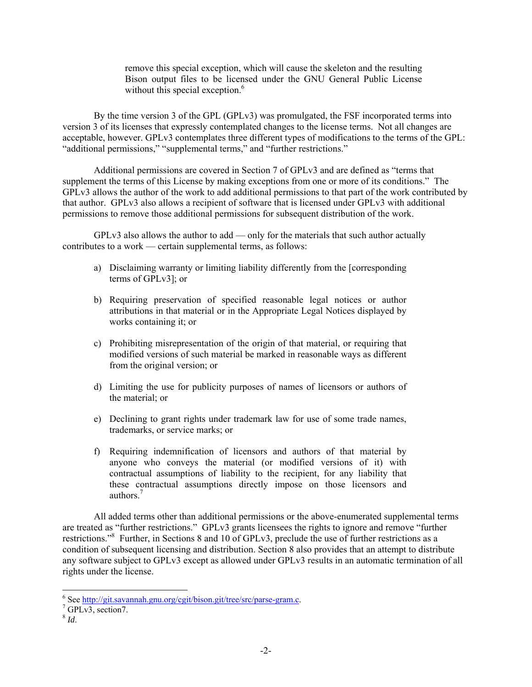remove this special exception, which will cause the skeleton and the resulting Bison output files to be licensed under the GNU General Public License without this special exception.<sup>6</sup>

By the time version 3 of the GPL (GPLv3) was promulgated, the FSF incorporated terms into version 3 of its licenses that expressly contemplated changes to the license terms. Not all changes are acceptable, however. GPLv3 contemplates three different types of modifications to the terms of the GPL: "additional permissions," "supplemental terms," and "further restrictions."

Additional permissions are covered in Section 7 of GPLv3 and are defined as "terms that supplement the terms of this License by making exceptions from one or more of its conditions." The GPLv3 allows the author of the work to add additional permissions to that part of the work contributed by that author. GPLv3 also allows a recipient of software that is licensed under GPLv3 with additional permissions to remove those additional permissions for subsequent distribution of the work.

 $GPLy3$  also allows the author to add — only for the materials that such author actually contributes to a work — certain supplemental terms, as follows:

- a) Disclaiming warranty or limiting liability differently from the [corresponding terms of GPLv3]; or
- b) Requiring preservation of specified reasonable legal notices or author attributions in that material or in the Appropriate Legal Notices displayed by works containing it; or
- c) Prohibiting misrepresentation of the origin of that material, or requiring that modified versions of such material be marked in reasonable ways as different from the original version; or
- d) Limiting the use for publicity purposes of names of licensors or authors of the material; or
- e) Declining to grant rights under trademark law for use of some trade names, trademarks, or service marks; or
- f) Requiring indemnification of licensors and authors of that material by anyone who conveys the material (or modified versions of it) with contractual assumptions of liability to the recipient, for any liability that these contractual assumptions directly impose on those licensors and authors<sup>7</sup>

All added terms other than additional permissions or the above-enumerated supplemental terms are treated as "further restrictions." GPLv3 grants licensees the rights to ignore and remove "further restrictions."<sup>8</sup> Further, in Sections 8 and 10 of GPLv3, preclude the use of further restrictions as a condition of subsequent licensing and distribution. Section 8 also provides that an attempt to distribute any software subject to GPLv3 except as allowed under GPLv3 results in an automatic termination of all rights under the license.

<sup>6&</sup>lt;br>
See <u>http://git.savannah.gnu.org/cgit/bison.git/tree/src/parse-gram.c</u>.<br>
<sup>7</sup> GPL v2. seetien7

 $7$  GPLv3, section7.

<sup>8</sup> *Id*.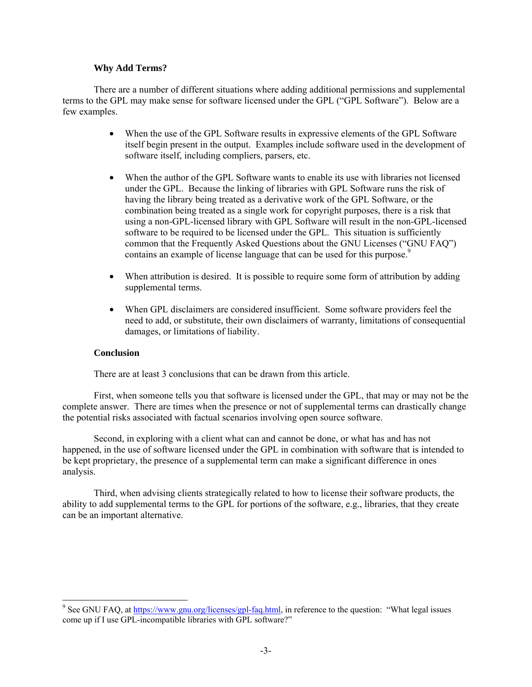#### **Why Add Terms?**

There are a number of different situations where adding additional permissions and supplemental terms to the GPL may make sense for software licensed under the GPL ("GPL Software"). Below are a few examples.

- When the use of the GPL Software results in expressive elements of the GPL Software itself begin present in the output. Examples include software used in the development of software itself, including compliers, parsers, etc.
- When the author of the GPL Software wants to enable its use with libraries not licensed under the GPL. Because the linking of libraries with GPL Software runs the risk of having the library being treated as a derivative work of the GPL Software, or the combination being treated as a single work for copyright purposes, there is a risk that using a non-GPL-licensed library with GPL Software will result in the non-GPL-licensed software to be required to be licensed under the GPL. This situation is sufficiently common that the Frequently Asked Questions about the GNU Licenses ("GNU FAQ") contains an example of license language that can be used for this purpose.<sup>9</sup>
- When attribution is desired. It is possible to require some form of attribution by adding supplemental terms.
- When GPL disclaimers are considered insufficient. Some software providers feel the need to add, or substitute, their own disclaimers of warranty, limitations of consequential damages, or limitations of liability.

#### **Conclusion**

There are at least 3 conclusions that can be drawn from this article.

First, when someone tells you that software is licensed under the GPL, that may or may not be the complete answer. There are times when the presence or not of supplemental terms can drastically change the potential risks associated with factual scenarios involving open source software.

Second, in exploring with a client what can and cannot be done, or what has and has not happened, in the use of software licensed under the GPL in combination with software that is intended to be kept proprietary, the presence of a supplemental term can make a significant difference in ones analysis.

Third, when advising clients strategically related to how to license their software products, the ability to add supplemental terms to the GPL for portions of the software, e.g., libraries, that they create can be an important alternative.

<sup>&</sup>lt;sup>9</sup> See GNU FAQ, at https://www.gnu.org/licenses/gpl-faq.html, in reference to the question: "What legal issues come up if I use GPL-incompatible libraries with GPL software?"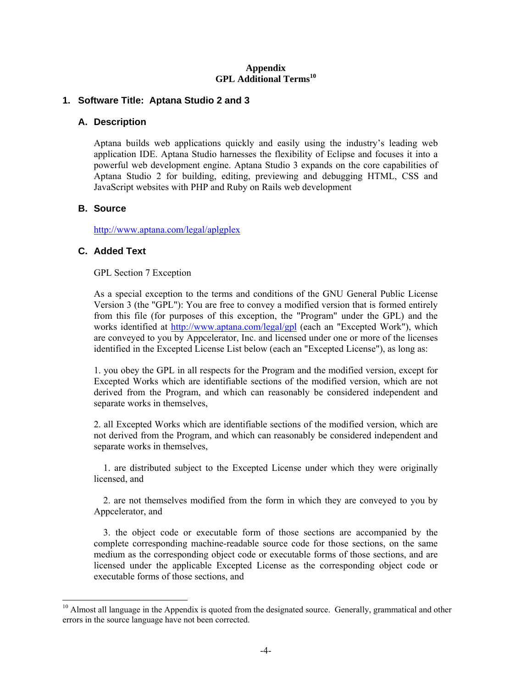#### **Appendix GPL Additional Terms<sup>10</sup>**

### **1. Software Title: Aptana Studio 2 and 3**

#### **A. Description**

Aptana builds web applications quickly and easily using the industry's leading web application IDE. Aptana Studio harnesses the flexibility of Eclipse and focuses it into a powerful web development engine. Aptana Studio 3 expands on the core capabilities of Aptana Studio 2 for building, editing, previewing and debugging HTML, CSS and JavaScript websites with PHP and Ruby on Rails web development

# **B. Source**

1

http://www.aptana.com/legal/aplgplex

# **C. Added Text**

GPL Section 7 Exception

As a special exception to the terms and conditions of the GNU General Public License Version 3 (the "GPL"): You are free to convey a modified version that is formed entirely from this file (for purposes of this exception, the "Program" under the GPL) and the works identified at http://www.aptana.com/legal/gpl (each an "Excepted Work"), which are conveyed to you by Appcelerator, Inc. and licensed under one or more of the licenses identified in the Excepted License List below (each an "Excepted License"), as long as:

1. you obey the GPL in all respects for the Program and the modified version, except for Excepted Works which are identifiable sections of the modified version, which are not derived from the Program, and which can reasonably be considered independent and separate works in themselves,

2. all Excepted Works which are identifiable sections of the modified version, which are not derived from the Program, and which can reasonably be considered independent and separate works in themselves,

 1. are distributed subject to the Excepted License under which they were originally licensed, and

 2. are not themselves modified from the form in which they are conveyed to you by Appcelerator, and

 3. the object code or executable form of those sections are accompanied by the complete corresponding machine-readable source code for those sections, on the same medium as the corresponding object code or executable forms of those sections, and are licensed under the applicable Excepted License as the corresponding object code or executable forms of those sections, and

<sup>&</sup>lt;sup>10</sup> Almost all language in the Appendix is quoted from the designated source. Generally, grammatical and other errors in the source language have not been corrected.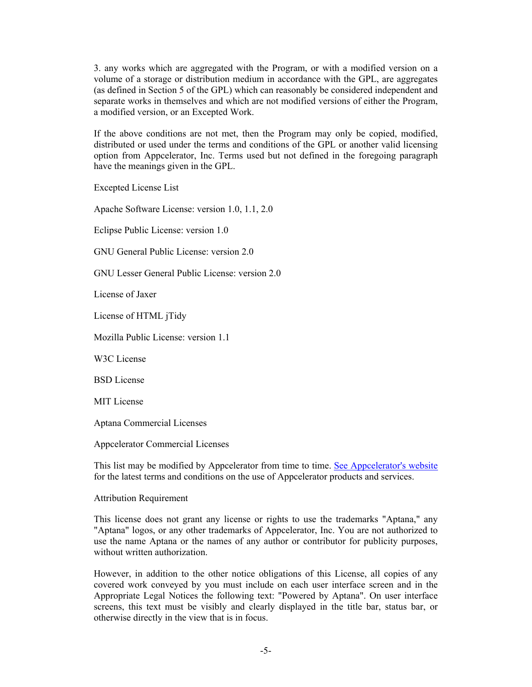3. any works which are aggregated with the Program, or with a modified version on a volume of a storage or distribution medium in accordance with the GPL, are aggregates (as defined in Section 5 of the GPL) which can reasonably be considered independent and separate works in themselves and which are not modified versions of either the Program, a modified version, or an Excepted Work.

If the above conditions are not met, then the Program may only be copied, modified, distributed or used under the terms and conditions of the GPL or another valid licensing option from Appcelerator, Inc. Terms used but not defined in the foregoing paragraph have the meanings given in the GPL.

Excepted License List

Apache Software License: version 1.0, 1.1, 2.0

Eclipse Public License: version 1.0

GNU General Public License: version 2.0

GNU Lesser General Public License: version 2.0

License of Jaxer

License of HTML jTidy

Mozilla Public License: version 1.1

W3C License

BSD License

MIT License

Aptana Commercial Licenses

Appcelerator Commercial Licenses

This list may be modified by Appcelerator from time to time. See Appcelerator's website for the latest terms and conditions on the use of Appcelerator products and services.

#### Attribution Requirement

This license does not grant any license or rights to use the trademarks "Aptana," any "Aptana" logos, or any other trademarks of Appcelerator, Inc. You are not authorized to use the name Aptana or the names of any author or contributor for publicity purposes, without written authorization.

However, in addition to the other notice obligations of this License, all copies of any covered work conveyed by you must include on each user interface screen and in the Appropriate Legal Notices the following text: "Powered by Aptana". On user interface screens, this text must be visibly and clearly displayed in the title bar, status bar, or otherwise directly in the view that is in focus.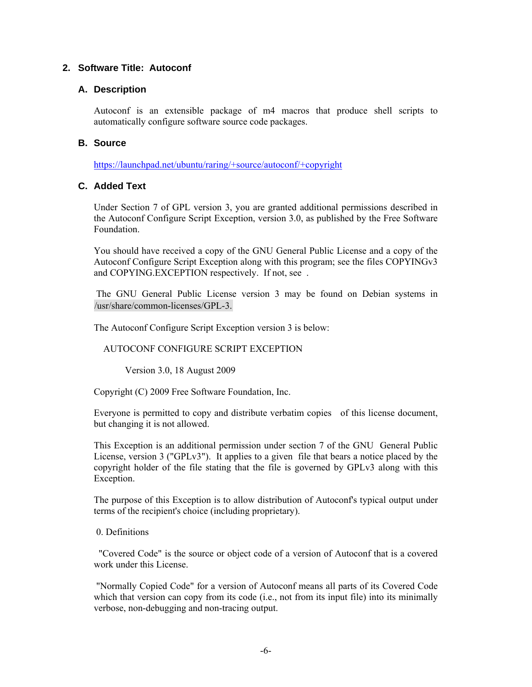# **2. Software Title: Autoconf**

#### **A. Description**

Autoconf is an extensible package of m4 macros that produce shell scripts to automatically configure software source code packages.

### **B. Source**

https://launchpad.net/ubuntu/raring/+source/autoconf/+copyright

### **C. Added Text**

Under Section 7 of GPL version 3, you are granted additional permissions described in the Autoconf Configure Script Exception, version 3.0, as published by the Free Software Foundation.

You should have received a copy of the GNU General Public License and a copy of the Autoconf Configure Script Exception along with this program; see the files COPYINGv3 and COPYING.EXCEPTION respectively. If not, see .

 The GNU General Public License version 3 may be found on Debian systems in /usr/share/common-licenses/GPL-3.

The Autoconf Configure Script Exception version 3 is below:

#### AUTOCONF CONFIGURE SCRIPT EXCEPTION

Version 3.0, 18 August 2009

Copyright (C) 2009 Free Software Foundation, Inc.

Everyone is permitted to copy and distribute verbatim copies of this license document, but changing it is not allowed.

This Exception is an additional permission under section 7 of the GNU General Public License, version 3 ("GPLv3"). It applies to a given file that bears a notice placed by the copyright holder of the file stating that the file is governed by GPLv3 along with this Exception.

The purpose of this Exception is to allow distribution of Autoconf's typical output under terms of the recipient's choice (including proprietary).

0. Definitions

 "Covered Code" is the source or object code of a version of Autoconf that is a covered work under this License.

 "Normally Copied Code" for a version of Autoconf means all parts of its Covered Code which that version can copy from its code (i.e., not from its input file) into its minimally verbose, non-debugging and non-tracing output.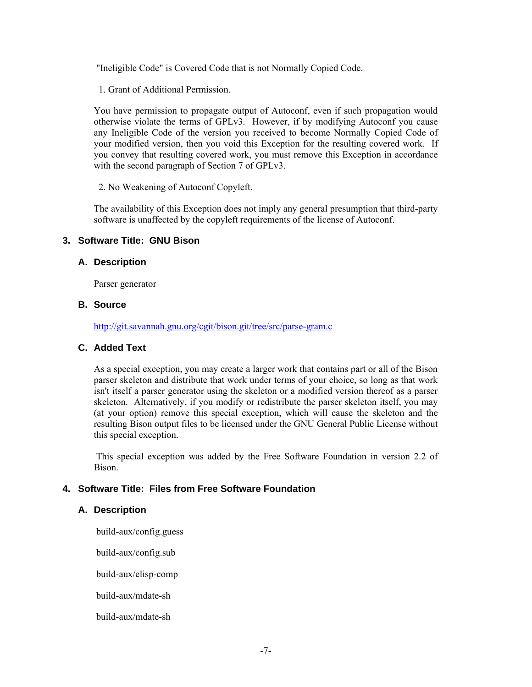"Ineligible Code" is Covered Code that is not Normally Copied Code.

1. Grant of Additional Permission.

You have permission to propagate output of Autoconf, even if such propagation would otherwise violate the terms of GPLv3. However, if by modifying Autoconf you cause any Ineligible Code of the version you received to become Normally Copied Code of your modified version, then you void this Exception for the resulting covered work. If you convey that resulting covered work, you must remove this Exception in accordance with the second paragraph of Section 7 of GPLv3.

2. No Weakening of Autoconf Copyleft.

The availability of this Exception does not imply any general presumption that third-party software is unaffected by the copyleft requirements of the license of Autoconf.

# **3. Software Title: GNU Bison**

### **A. Description**

Parser generator

#### **B. Source**

http://git.savannah.gnu.org/cgit/bison.git/tree/src/parse-gram.c

### **C. Added Text**

As a special exception, you may create a larger work that contains part or all of the Bison parser skeleton and distribute that work under terms of your choice, so long as that work isn't itself a parser generator using the skeleton or a modified version thereof as a parser skeleton. Alternatively, if you modify or redistribute the parser skeleton itself, you may (at your option) remove this special exception, which will cause the skeleton and the resulting Bison output files to be licensed under the GNU General Public License without this special exception.

 This special exception was added by the Free Software Foundation in version 2.2 of Bison.

# **4. Software Title: Files from Free Software Foundation**

#### **A. Description**

build-aux/config.guess

build-aux/config.sub

build-aux/elisp-comp

build-aux/mdate-sh

build-aux/mdate-sh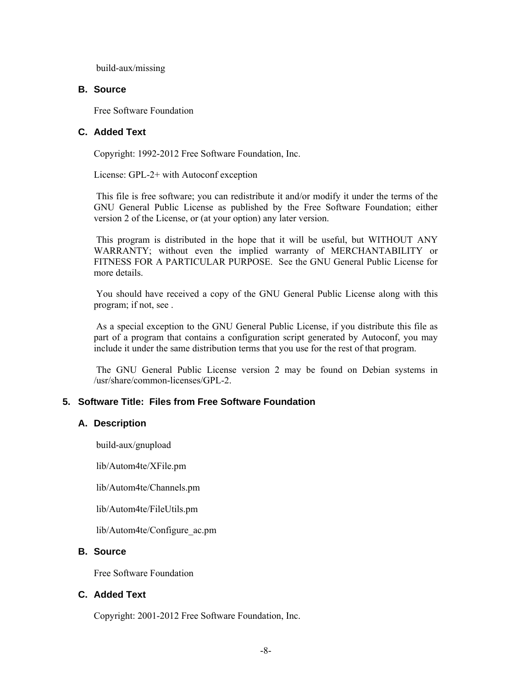build-aux/missing

#### **B. Source**

Free Software Foundation

# **C. Added Text**

Copyright: 1992-2012 Free Software Foundation, Inc.

License: GPL-2+ with Autoconf exception

 This file is free software; you can redistribute it and/or modify it under the terms of the GNU General Public License as published by the Free Software Foundation; either version 2 of the License, or (at your option) any later version.

 This program is distributed in the hope that it will be useful, but WITHOUT ANY WARRANTY; without even the implied warranty of MERCHANTABILITY or FITNESS FOR A PARTICULAR PURPOSE. See the GNU General Public License for more details.

 You should have received a copy of the GNU General Public License along with this program; if not, see .

 As a special exception to the GNU General Public License, if you distribute this file as part of a program that contains a configuration script generated by Autoconf, you may include it under the same distribution terms that you use for the rest of that program.

 The GNU General Public License version 2 may be found on Debian systems in /usr/share/common-licenses/GPL-2.

# **5. Software Title: Files from Free Software Foundation**

#### **A. Description**

build-aux/gnupload

lib/Autom4te/XFile.pm

lib/Autom4te/Channels.pm

lib/Autom4te/FileUtils.pm

lib/Autom4te/Configure\_ac.pm

#### **B. Source**

Free Software Foundation

#### **C. Added Text**

Copyright: 2001-2012 Free Software Foundation, Inc.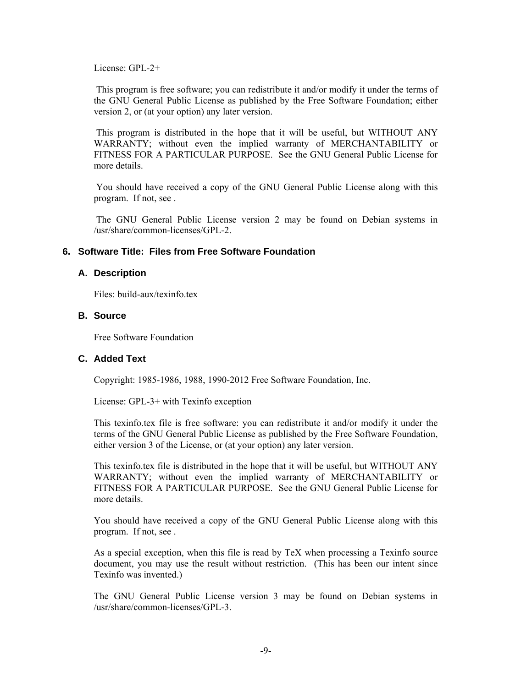License: GPL-2+

 This program is free software; you can redistribute it and/or modify it under the terms of the GNU General Public License as published by the Free Software Foundation; either version 2, or (at your option) any later version.

 This program is distributed in the hope that it will be useful, but WITHOUT ANY WARRANTY; without even the implied warranty of MERCHANTABILITY or FITNESS FOR A PARTICULAR PURPOSE. See the GNU General Public License for more details.

 You should have received a copy of the GNU General Public License along with this program. If not, see .

 The GNU General Public License version 2 may be found on Debian systems in /usr/share/common-licenses/GPL-2.

#### **6. Software Title: Files from Free Software Foundation**

#### **A. Description**

Files: build-aux/texinfo.tex

# **B. Source**

Free Software Foundation

# **C. Added Text**

Copyright: 1985-1986, 1988, 1990-2012 Free Software Foundation, Inc.

License: GPL-3+ with Texinfo exception

This texinfo.tex file is free software: you can redistribute it and/or modify it under the terms of the GNU General Public License as published by the Free Software Foundation, either version 3 of the License, or (at your option) any later version.

This texinfo.tex file is distributed in the hope that it will be useful, but WITHOUT ANY WARRANTY; without even the implied warranty of MERCHANTABILITY or FITNESS FOR A PARTICULAR PURPOSE. See the GNU General Public License for more details.

You should have received a copy of the GNU General Public License along with this program. If not, see .

As a special exception, when this file is read by TeX when processing a Texinfo source document, you may use the result without restriction. (This has been our intent since Texinfo was invented.)

The GNU General Public License version 3 may be found on Debian systems in /usr/share/common-licenses/GPL-3.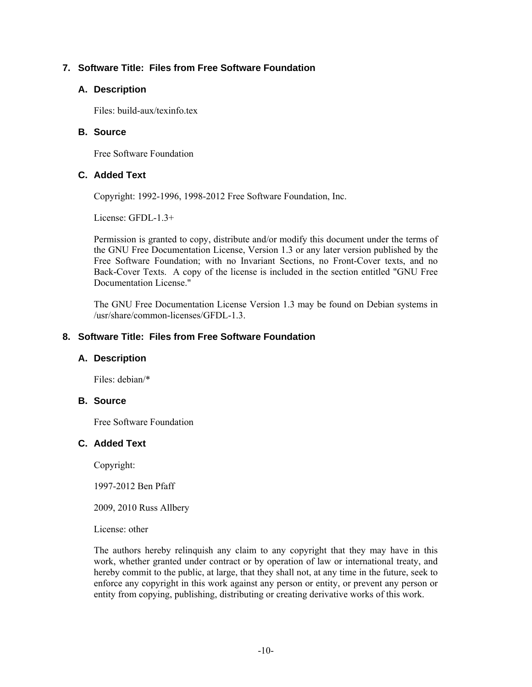# **7. Software Title: Files from Free Software Foundation**

# **A. Description**

Files: build-aux/texinfo.tex

#### **B. Source**

Free Software Foundation

### **C. Added Text**

Copyright: 1992-1996, 1998-2012 Free Software Foundation, Inc.

License: GFDL-1.3+

Permission is granted to copy, distribute and/or modify this document under the terms of the GNU Free Documentation License, Version 1.3 or any later version published by the Free Software Foundation; with no Invariant Sections, no Front-Cover texts, and no Back-Cover Texts. A copy of the license is included in the section entitled "GNU Free Documentation License."

The GNU Free Documentation License Version 1.3 may be found on Debian systems in /usr/share/common-licenses/GFDL-1.3.

## **8. Software Title: Files from Free Software Foundation**

#### **A. Description**

Files: debian/\*

# **B. Source**

Free Software Foundation

### **C. Added Text**

Copyright:

1997-2012 Ben Pfaff

2009, 2010 Russ Allbery

License: other

The authors hereby relinquish any claim to any copyright that they may have in this work, whether granted under contract or by operation of law or international treaty, and hereby commit to the public, at large, that they shall not, at any time in the future, seek to enforce any copyright in this work against any person or entity, or prevent any person or entity from copying, publishing, distributing or creating derivative works of this work.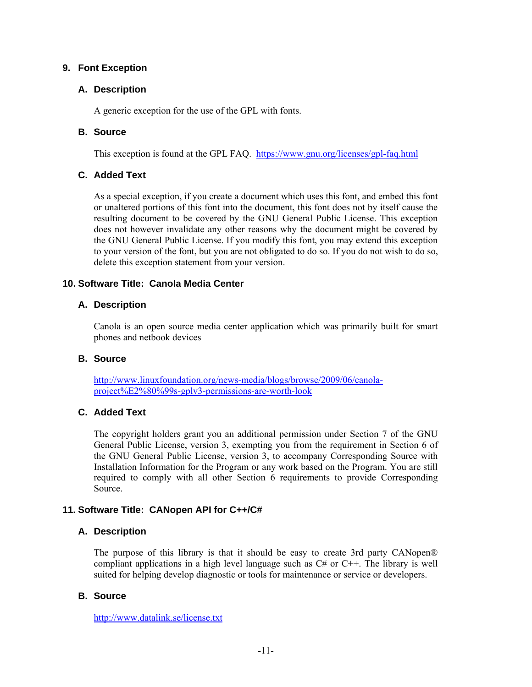### **9. Font Exception**

### **A. Description**

A generic exception for the use of the GPL with fonts.

# **B. Source**

This exception is found at the GPL FAQ. https://www.gnu.org/licenses/gpl-faq.html

# **C. Added Text**

As a special exception, if you create a document which uses this font, and embed this font or unaltered portions of this font into the document, this font does not by itself cause the resulting document to be covered by the GNU General Public License. This exception does not however invalidate any other reasons why the document might be covered by the GNU General Public License. If you modify this font, you may extend this exception to your version of the font, but you are not obligated to do so. If you do not wish to do so, delete this exception statement from your version.

# **10. Software Title: Canola Media Center**

### **A. Description**

Canola is an open source media center application which was primarily built for smart phones and netbook devices

#### **B. Source**

http://www.linuxfoundation.org/news-media/blogs/browse/2009/06/canolaproject%E2%80%99s-gplv3-permissions-are-worth-look

# **C. Added Text**

The copyright holders grant you an additional permission under Section 7 of the GNU General Public License, version 3, exempting you from the requirement in Section 6 of the GNU General Public License, version 3, to accompany Corresponding Source with Installation Information for the Program or any work based on the Program. You are still required to comply with all other Section 6 requirements to provide Corresponding Source.

# **11. Software Title: CANopen API for C++/C#**

# **A. Description**

The purpose of this library is that it should be easy to create 3rd party CANopen® compliant applications in a high level language such as  $C#$  or  $C++$ . The library is well suited for helping develop diagnostic or tools for maintenance or service or developers.

# **B. Source**

http://www.datalink.se/license.txt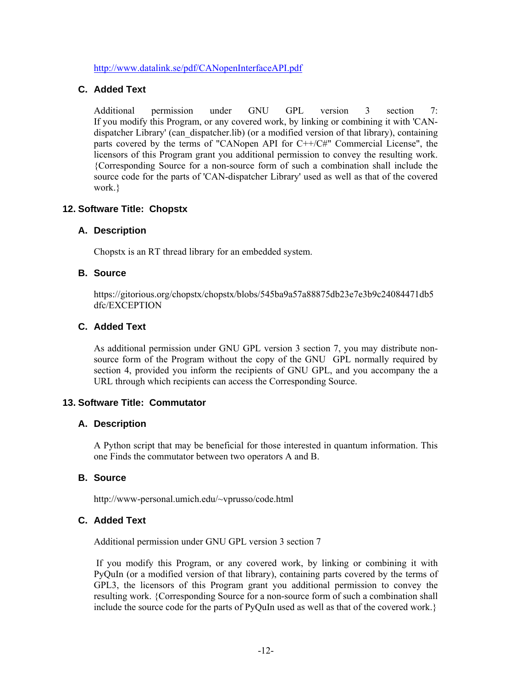http://www.datalink.se/pdf/CANopenInterfaceAPI.pdf

### **C. Added Text**

Additional permission under GNU GPL version 3 section 7: If you modify this Program, or any covered work, by linking or combining it with 'CANdispatcher Library' (can\_dispatcher.lib) (or a modified version of that library), containing parts covered by the terms of "CANopen API for C++/C#" Commercial License", the licensors of this Program grant you additional permission to convey the resulting work. {Corresponding Source for a non-source form of such a combination shall include the source code for the parts of 'CAN-dispatcher Library' used as well as that of the covered work.}

### **12. Software Title: Chopstx**

### **A. Description**

Chopstx is an RT thread library for an embedded system.

#### **B. Source**

https://gitorious.org/chopstx/chopstx/blobs/545ba9a57a88875db23e7e3b9c24084471db5 dfc/EXCEPTION

### **C. Added Text**

As additional permission under GNU GPL version 3 section 7, you may distribute nonsource form of the Program without the copy of the GNU GPL normally required by section 4, provided you inform the recipients of GNU GPL, and you accompany the a URL through which recipients can access the Corresponding Source.

#### **13. Software Title: Commutator**

#### **A. Description**

A Python script that may be beneficial for those interested in quantum information. This one Finds the commutator between two operators A and B.

# **B. Source**

http://www-personal.umich.edu/~vprusso/code.html

# **C. Added Text**

Additional permission under GNU GPL version 3 section 7

 If you modify this Program, or any covered work, by linking or combining it with PyQuIn (or a modified version of that library), containing parts covered by the terms of GPL3, the licensors of this Program grant you additional permission to convey the resulting work. {Corresponding Source for a non-source form of such a combination shall include the source code for the parts of PyQuIn used as well as that of the covered work.}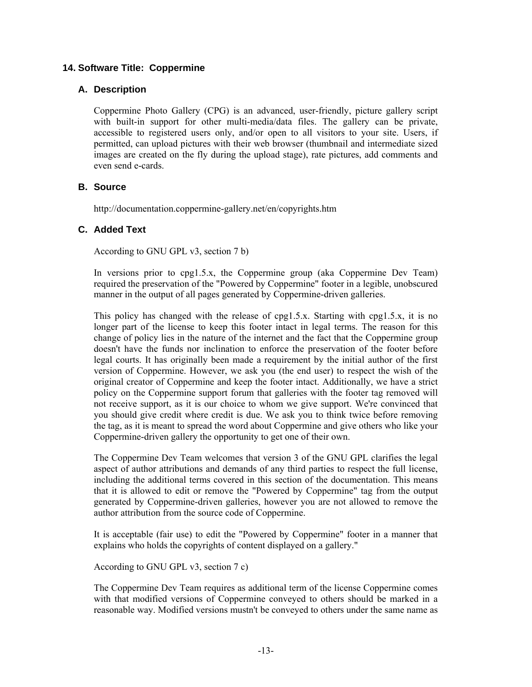### **14. Software Title: Coppermine**

### **A. Description**

Coppermine Photo Gallery (CPG) is an advanced, user-friendly, picture gallery script with built-in support for other multi-media/data files. The gallery can be private, accessible to registered users only, and/or open to all visitors to your site. Users, if permitted, can upload pictures with their web browser (thumbnail and intermediate sized images are created on the fly during the upload stage), rate pictures, add comments and even send e-cards.

# **B. Source**

http://documentation.coppermine-gallery.net/en/copyrights.htm

### **C. Added Text**

According to GNU GPL v3, section 7 b)

In versions prior to cpg1.5.x, the Coppermine group (aka Coppermine Dev Team) required the preservation of the "Powered by Coppermine" footer in a legible, unobscured manner in the output of all pages generated by Coppermine-driven galleries.

This policy has changed with the release of cpg1.5.x. Starting with cpg1.5.x, it is no longer part of the license to keep this footer intact in legal terms. The reason for this change of policy lies in the nature of the internet and the fact that the Coppermine group doesn't have the funds nor inclination to enforce the preservation of the footer before legal courts. It has originally been made a requirement by the initial author of the first version of Coppermine. However, we ask you (the end user) to respect the wish of the original creator of Coppermine and keep the footer intact. Additionally, we have a strict policy on the Coppermine support forum that galleries with the footer tag removed will not receive support, as it is our choice to whom we give support. We're convinced that you should give credit where credit is due. We ask you to think twice before removing the tag, as it is meant to spread the word about Coppermine and give others who like your Coppermine-driven gallery the opportunity to get one of their own.

The Coppermine Dev Team welcomes that version 3 of the GNU GPL clarifies the legal aspect of author attributions and demands of any third parties to respect the full license, including the additional terms covered in this section of the documentation. This means that it is allowed to edit or remove the "Powered by Coppermine" tag from the output generated by Coppermine-driven galleries, however you are not allowed to remove the author attribution from the source code of Coppermine.

It is acceptable (fair use) to edit the "Powered by Coppermine" footer in a manner that explains who holds the copyrights of content displayed on a gallery."

According to GNU GPL v3, section 7 c)

The Coppermine Dev Team requires as additional term of the license Coppermine comes with that modified versions of Coppermine conveyed to others should be marked in a reasonable way. Modified versions mustn't be conveyed to others under the same name as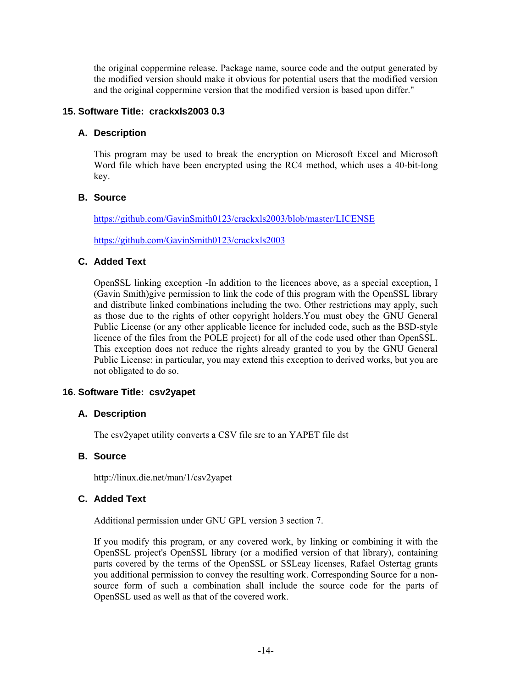the original coppermine release. Package name, source code and the output generated by the modified version should make it obvious for potential users that the modified version and the original coppermine version that the modified version is based upon differ."

#### **15. Software Title: crackxls2003 0.3**

### **A. Description**

This program may be used to break the encryption on Microsoft Excel and Microsoft Word file which have been encrypted using the RC4 method, which uses a 40-bit-long key.

# **B. Source**

https://github.com/GavinSmith0123/crackxls2003/blob/master/LICENSE

https://github.com/GavinSmith0123/crackxls2003

### **C. Added Text**

OpenSSL linking exception -In addition to the licences above, as a special exception, I (Gavin Smith)give permission to link the code of this program with the OpenSSL library and distribute linked combinations including the two. Other restrictions may apply, such as those due to the rights of other copyright holders.You must obey the GNU General Public License (or any other applicable licence for included code, such as the BSD-style licence of the files from the POLE project) for all of the code used other than OpenSSL. This exception does not reduce the rights already granted to you by the GNU General Public License: in particular, you may extend this exception to derived works, but you are not obligated to do so.

# **16. Software Title: csv2yapet**

# **A. Description**

The csv2yapet utility converts a CSV file src to an YAPET file dst

# **B. Source**

http://linux.die.net/man/1/csv2yapet

#### **C. Added Text**

Additional permission under GNU GPL version 3 section 7.

If you modify this program, or any covered work, by linking or combining it with the OpenSSL project's OpenSSL library (or a modified version of that library), containing parts covered by the terms of the OpenSSL or SSLeay licenses, Rafael Ostertag grants you additional permission to convey the resulting work. Corresponding Source for a nonsource form of such a combination shall include the source code for the parts of OpenSSL used as well as that of the covered work.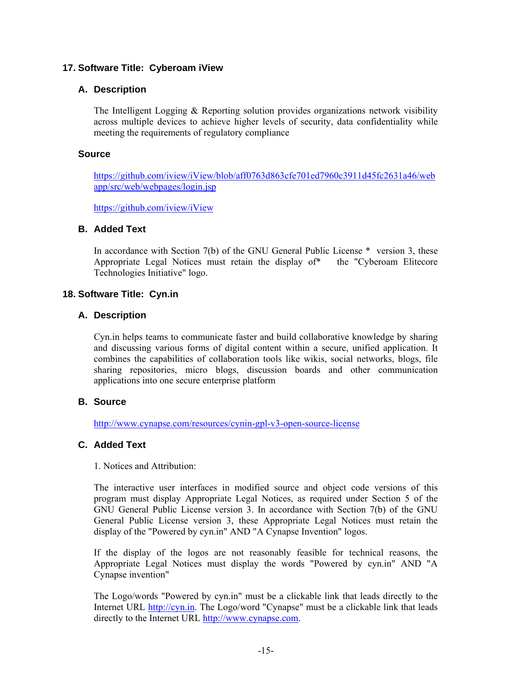### **17. Software Title: Cyberoam iView**

### **A. Description**

The Intelligent Logging & Reporting solution provides organizations network visibility across multiple devices to achieve higher levels of security, data confidentiality while meeting the requirements of regulatory compliance

#### **Source**

https://github.com/iview/iView/blob/aff0763d863cfe701ed7960c3911d45fc2631a46/web app/src/web/webpages/login.jsp

https://github.com/iview/iView

### **B. Added Text**

In accordance with Section 7(b) of the GNU General Public License \* version 3, these Appropriate Legal Notices must retain the display of\* the "Cyberoam Elitecore Technologies Initiative" logo.

### **18. Software Title: Cyn.in**

### **A. Description**

Cyn.in helps teams to communicate faster and build collaborative knowledge by sharing and discussing various forms of digital content within a secure, unified application. It combines the capabilities of collaboration tools like wikis, social networks, blogs, file sharing repositories, micro blogs, discussion boards and other communication applications into one secure enterprise platform

#### **B. Source**

http://www.cynapse.com/resources/cynin-gpl-v3-open-source-license

# **C. Added Text**

1. Notices and Attribution:

The interactive user interfaces in modified source and object code versions of this program must display Appropriate Legal Notices, as required under Section 5 of the GNU General Public License version 3. In accordance with Section 7(b) of the GNU General Public License version 3, these Appropriate Legal Notices must retain the display of the "Powered by cyn.in" AND "A Cynapse Invention" logos.

If the display of the logos are not reasonably feasible for technical reasons, the Appropriate Legal Notices must display the words "Powered by cyn.in" AND "A Cynapse invention"

The Logo/words "Powered by cyn.in" must be a clickable link that leads directly to the Internet URL http://cyn.in. The Logo/word "Cynapse" must be a clickable link that leads directly to the Internet URL http://www.cynapse.com.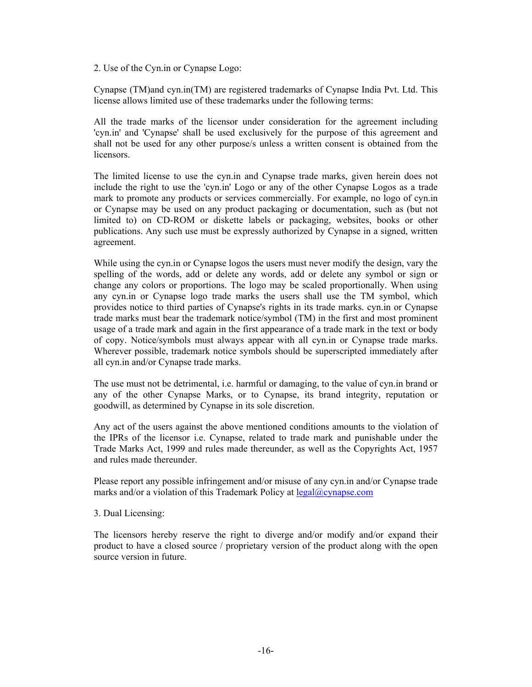2. Use of the Cyn.in or Cynapse Logo:

Cynapse (TM)and cyn.in(TM) are registered trademarks of Cynapse India Pvt. Ltd. This license allows limited use of these trademarks under the following terms:

All the trade marks of the licensor under consideration for the agreement including 'cyn.in' and 'Cynapse' shall be used exclusively for the purpose of this agreement and shall not be used for any other purpose/s unless a written consent is obtained from the licensors.

The limited license to use the cyn.in and Cynapse trade marks, given herein does not include the right to use the 'cyn.in' Logo or any of the other Cynapse Logos as a trade mark to promote any products or services commercially. For example, no logo of cyn.in or Cynapse may be used on any product packaging or documentation, such as (but not limited to) on CD-ROM or diskette labels or packaging, websites, books or other publications. Any such use must be expressly authorized by Cynapse in a signed, written agreement.

While using the cyn.in or Cynapse logos the users must never modify the design, vary the spelling of the words, add or delete any words, add or delete any symbol or sign or change any colors or proportions. The logo may be scaled proportionally. When using any cyn.in or Cynapse logo trade marks the users shall use the TM symbol, which provides notice to third parties of Cynapse's rights in its trade marks. cyn.in or Cynapse trade marks must bear the trademark notice/symbol (TM) in the first and most prominent usage of a trade mark and again in the first appearance of a trade mark in the text or body of copy. Notice/symbols must always appear with all cyn.in or Cynapse trade marks. Wherever possible, trademark notice symbols should be superscripted immediately after all cyn.in and/or Cynapse trade marks.

The use must not be detrimental, i.e. harmful or damaging, to the value of cyn.in brand or any of the other Cynapse Marks, or to Cynapse, its brand integrity, reputation or goodwill, as determined by Cynapse in its sole discretion.

Any act of the users against the above mentioned conditions amounts to the violation of the IPRs of the licensor i.e. Cynapse, related to trade mark and punishable under the Trade Marks Act, 1999 and rules made thereunder, as well as the Copyrights Act, 1957 and rules made thereunder.

Please report any possible infringement and/or misuse of any cyn.in and/or Cynapse trade marks and/or a violation of this Trademark Policy at legal@cynapse.com

3. Dual Licensing:

The licensors hereby reserve the right to diverge and/or modify and/or expand their product to have a closed source / proprietary version of the product along with the open source version in future.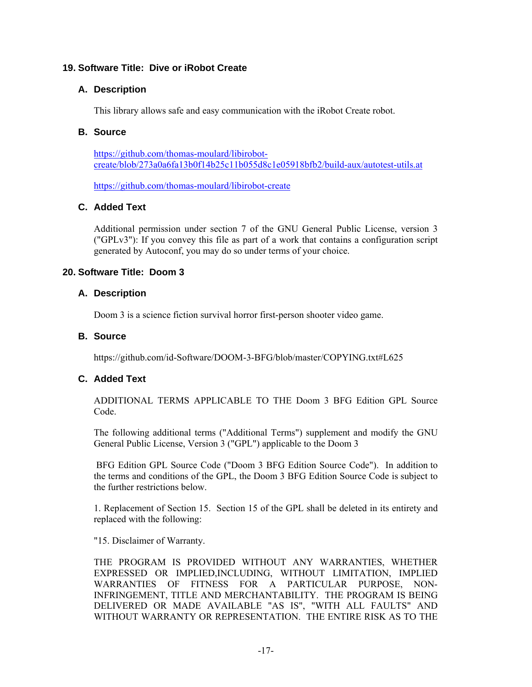# **19. Software Title: Dive or iRobot Create**

# **A. Description**

This library allows safe and easy communication with the iRobot Create robot.

### **B. Source**

https://github.com/thomas-moulard/libirobotcreate/blob/273a0a6fa13b0f14b25c11b055d8c1e05918bfb2/build-aux/autotest-utils.at

https://github.com/thomas-moulard/libirobot-create

# **C. Added Text**

Additional permission under section 7 of the GNU General Public License, version 3 ("GPLv3"): If you convey this file as part of a work that contains a configuration script generated by Autoconf, you may do so under terms of your choice.

# **20. Software Title: Doom 3**

### **A. Description**

Doom 3 is a science fiction survival horror first-person shooter video game.

### **B. Source**

https://github.com/id-Software/DOOM-3-BFG/blob/master/COPYING.txt#L625

# **C. Added Text**

ADDITIONAL TERMS APPLICABLE TO THE Doom 3 BFG Edition GPL Source Code.

The following additional terms ("Additional Terms") supplement and modify the GNU General Public License, Version 3 ("GPL") applicable to the Doom 3

 BFG Edition GPL Source Code ("Doom 3 BFG Edition Source Code"). In addition to the terms and conditions of the GPL, the Doom 3 BFG Edition Source Code is subject to the further restrictions below.

1. Replacement of Section 15. Section 15 of the GPL shall be deleted in its entirety and replaced with the following:

"15. Disclaimer of Warranty.

THE PROGRAM IS PROVIDED WITHOUT ANY WARRANTIES, WHETHER EXPRESSED OR IMPLIED,INCLUDING, WITHOUT LIMITATION, IMPLIED WARRANTIES OF FITNESS FOR A PARTICULAR PURPOSE, NON-INFRINGEMENT, TITLE AND MERCHANTABILITY. THE PROGRAM IS BEING DELIVERED OR MADE AVAILABLE "AS IS", "WITH ALL FAULTS" AND WITHOUT WARRANTY OR REPRESENTATION. THE ENTIRE RISK AS TO THE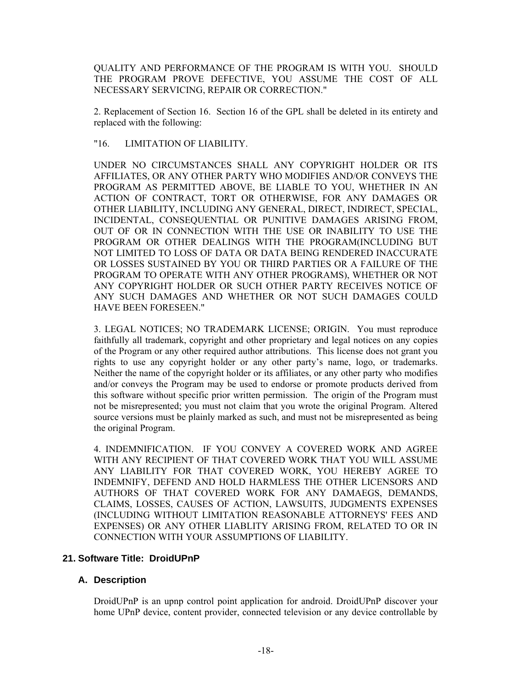QUALITY AND PERFORMANCE OF THE PROGRAM IS WITH YOU. SHOULD THE PROGRAM PROVE DEFECTIVE, YOU ASSUME THE COST OF ALL NECESSARY SERVICING, REPAIR OR CORRECTION."

2. Replacement of Section 16. Section 16 of the GPL shall be deleted in its entirety and replaced with the following:

"16. LIMITATION OF LIABILITY.

UNDER NO CIRCUMSTANCES SHALL ANY COPYRIGHT HOLDER OR ITS AFFILIATES, OR ANY OTHER PARTY WHO MODIFIES AND/OR CONVEYS THE PROGRAM AS PERMITTED ABOVE, BE LIABLE TO YOU, WHETHER IN AN ACTION OF CONTRACT, TORT OR OTHERWISE, FOR ANY DAMAGES OR OTHER LIABILITY, INCLUDING ANY GENERAL, DIRECT, INDIRECT, SPECIAL, INCIDENTAL, CONSEQUENTIAL OR PUNITIVE DAMAGES ARISING FROM, OUT OF OR IN CONNECTION WITH THE USE OR INABILITY TO USE THE PROGRAM OR OTHER DEALINGS WITH THE PROGRAM(INCLUDING BUT NOT LIMITED TO LOSS OF DATA OR DATA BEING RENDERED INACCURATE OR LOSSES SUSTAINED BY YOU OR THIRD PARTIES OR A FAILURE OF THE PROGRAM TO OPERATE WITH ANY OTHER PROGRAMS), WHETHER OR NOT ANY COPYRIGHT HOLDER OR SUCH OTHER PARTY RECEIVES NOTICE OF ANY SUCH DAMAGES AND WHETHER OR NOT SUCH DAMAGES COULD HAVE BEEN FORESEEN."

3. LEGAL NOTICES; NO TRADEMARK LICENSE; ORIGIN. You must reproduce faithfully all trademark, copyright and other proprietary and legal notices on any copies of the Program or any other required author attributions. This license does not grant you rights to use any copyright holder or any other party's name, logo, or trademarks. Neither the name of the copyright holder or its affiliates, or any other party who modifies and/or conveys the Program may be used to endorse or promote products derived from this software without specific prior written permission. The origin of the Program must not be misrepresented; you must not claim that you wrote the original Program. Altered source versions must be plainly marked as such, and must not be misrepresented as being the original Program.

4. INDEMNIFICATION. IF YOU CONVEY A COVERED WORK AND AGREE WITH ANY RECIPIENT OF THAT COVERED WORK THAT YOU WILL ASSUME ANY LIABILITY FOR THAT COVERED WORK, YOU HEREBY AGREE TO INDEMNIFY, DEFEND AND HOLD HARMLESS THE OTHER LICENSORS AND AUTHORS OF THAT COVERED WORK FOR ANY DAMAEGS, DEMANDS, CLAIMS, LOSSES, CAUSES OF ACTION, LAWSUITS, JUDGMENTS EXPENSES (INCLUDING WITHOUT LIMITATION REASONABLE ATTORNEYS' FEES AND EXPENSES) OR ANY OTHER LIABLITY ARISING FROM, RELATED TO OR IN CONNECTION WITH YOUR ASSUMPTIONS OF LIABILITY.

#### **21. Software Title: DroidUPnP**

#### **A. Description**

DroidUPnP is an upnp control point application for android. DroidUPnP discover your home UPnP device, content provider, connected television or any device controllable by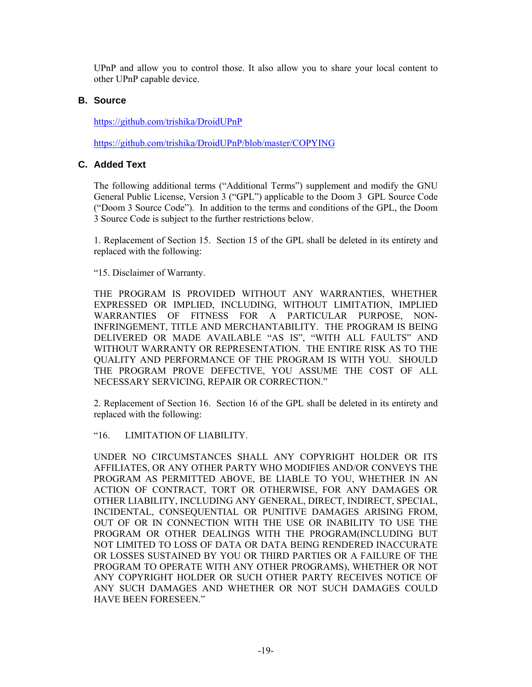UPnP and allow you to control those. It also allow you to share your local content to other UPnP capable device.

### **B. Source**

https://github.com/trishika/DroidUPnP

https://github.com/trishika/DroidUPnP/blob/master/COPYING

# **C. Added Text**

The following additional terms ("Additional Terms") supplement and modify the GNU General Public License, Version 3 ("GPL") applicable to the Doom 3 GPL Source Code ("Doom 3 Source Code"). In addition to the terms and conditions of the GPL, the Doom 3 Source Code is subject to the further restrictions below.

1. Replacement of Section 15. Section 15 of the GPL shall be deleted in its entirety and replaced with the following:

"15. Disclaimer of Warranty.

THE PROGRAM IS PROVIDED WITHOUT ANY WARRANTIES, WHETHER EXPRESSED OR IMPLIED, INCLUDING, WITHOUT LIMITATION, IMPLIED WARRANTIES OF FITNESS FOR A PARTICULAR PURPOSE, NON-INFRINGEMENT, TITLE AND MERCHANTABILITY. THE PROGRAM IS BEING DELIVERED OR MADE AVAILABLE "AS IS", "WITH ALL FAULTS" AND WITHOUT WARRANTY OR REPRESENTATION. THE ENTIRE RISK AS TO THE QUALITY AND PERFORMANCE OF THE PROGRAM IS WITH YOU. SHOULD THE PROGRAM PROVE DEFECTIVE, YOU ASSUME THE COST OF ALL NECESSARY SERVICING, REPAIR OR CORRECTION."

2. Replacement of Section 16. Section 16 of the GPL shall be deleted in its entirety and replaced with the following:

"16. LIMITATION OF LIABILITY.

UNDER NO CIRCUMSTANCES SHALL ANY COPYRIGHT HOLDER OR ITS AFFILIATES, OR ANY OTHER PARTY WHO MODIFIES AND/OR CONVEYS THE PROGRAM AS PERMITTED ABOVE, BE LIABLE TO YOU, WHETHER IN AN ACTION OF CONTRACT, TORT OR OTHERWISE, FOR ANY DAMAGES OR OTHER LIABILITY, INCLUDING ANY GENERAL, DIRECT, INDIRECT, SPECIAL, INCIDENTAL, CONSEQUENTIAL OR PUNITIVE DAMAGES ARISING FROM, OUT OF OR IN CONNECTION WITH THE USE OR INABILITY TO USE THE PROGRAM OR OTHER DEALINGS WITH THE PROGRAM(INCLUDING BUT NOT LIMITED TO LOSS OF DATA OR DATA BEING RENDERED INACCURATE OR LOSSES SUSTAINED BY YOU OR THIRD PARTIES OR A FAILURE OF THE PROGRAM TO OPERATE WITH ANY OTHER PROGRAMS), WHETHER OR NOT ANY COPYRIGHT HOLDER OR SUCH OTHER PARTY RECEIVES NOTICE OF ANY SUCH DAMAGES AND WHETHER OR NOT SUCH DAMAGES COULD HAVE BEEN FORESEEN."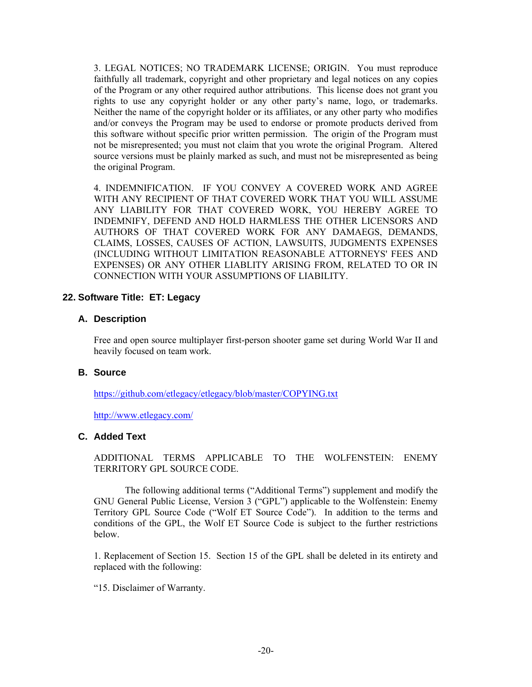3. LEGAL NOTICES; NO TRADEMARK LICENSE; ORIGIN. You must reproduce faithfully all trademark, copyright and other proprietary and legal notices on any copies of the Program or any other required author attributions. This license does not grant you rights to use any copyright holder or any other party's name, logo, or trademarks. Neither the name of the copyright holder or its affiliates, or any other party who modifies and/or conveys the Program may be used to endorse or promote products derived from this software without specific prior written permission. The origin of the Program must not be misrepresented; you must not claim that you wrote the original Program. Altered source versions must be plainly marked as such, and must not be misrepresented as being the original Program.

4. INDEMNIFICATION. IF YOU CONVEY A COVERED WORK AND AGREE WITH ANY RECIPIENT OF THAT COVERED WORK THAT YOU WILL ASSUME ANY LIABILITY FOR THAT COVERED WORK, YOU HEREBY AGREE TO INDEMNIFY, DEFEND AND HOLD HARMLESS THE OTHER LICENSORS AND AUTHORS OF THAT COVERED WORK FOR ANY DAMAEGS, DEMANDS, CLAIMS, LOSSES, CAUSES OF ACTION, LAWSUITS, JUDGMENTS EXPENSES (INCLUDING WITHOUT LIMITATION REASONABLE ATTORNEYS' FEES AND EXPENSES) OR ANY OTHER LIABLITY ARISING FROM, RELATED TO OR IN CONNECTION WITH YOUR ASSUMPTIONS OF LIABILITY.

#### **22. Software Title: ET: Legacy**

#### **A. Description**

Free and open source multiplayer first-person shooter game set during World War II and heavily focused on team work.

#### **B. Source**

https://github.com/etlegacy/etlegacy/blob/master/COPYING.txt

http://www.etlegacy.com/

### **C. Added Text**

ADDITIONAL TERMS APPLICABLE TO THE WOLFENSTEIN: ENEMY TERRITORY GPL SOURCE CODE.

 The following additional terms ("Additional Terms") supplement and modify the GNU General Public License, Version 3 ("GPL") applicable to the Wolfenstein: Enemy Territory GPL Source Code ("Wolf ET Source Code"). In addition to the terms and conditions of the GPL, the Wolf ET Source Code is subject to the further restrictions below.

1. Replacement of Section 15. Section 15 of the GPL shall be deleted in its entirety and replaced with the following:

"15. Disclaimer of Warranty.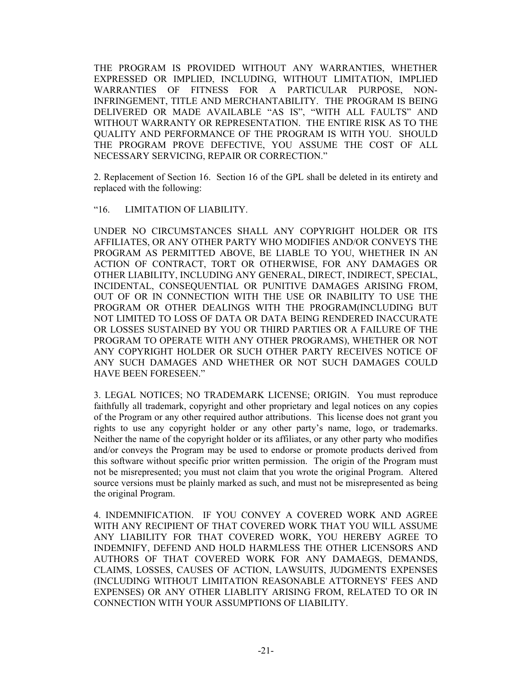THE PROGRAM IS PROVIDED WITHOUT ANY WARRANTIES, WHETHER EXPRESSED OR IMPLIED, INCLUDING, WITHOUT LIMITATION, IMPLIED WARRANTIES OF FITNESS FOR A PARTICULAR PURPOSE, NON-INFRINGEMENT, TITLE AND MERCHANTABILITY. THE PROGRAM IS BEING DELIVERED OR MADE AVAILABLE "AS IS", "WITH ALL FAULTS" AND WITHOUT WARRANTY OR REPRESENTATION. THE ENTIRE RISK AS TO THE QUALITY AND PERFORMANCE OF THE PROGRAM IS WITH YOU. SHOULD THE PROGRAM PROVE DEFECTIVE, YOU ASSUME THE COST OF ALL NECESSARY SERVICING, REPAIR OR CORRECTION."

2. Replacement of Section 16. Section 16 of the GPL shall be deleted in its entirety and replaced with the following:

#### "16. LIMITATION OF LIABILITY.

UNDER NO CIRCUMSTANCES SHALL ANY COPYRIGHT HOLDER OR ITS AFFILIATES, OR ANY OTHER PARTY WHO MODIFIES AND/OR CONVEYS THE PROGRAM AS PERMITTED ABOVE, BE LIABLE TO YOU, WHETHER IN AN ACTION OF CONTRACT, TORT OR OTHERWISE, FOR ANY DAMAGES OR OTHER LIABILITY, INCLUDING ANY GENERAL, DIRECT, INDIRECT, SPECIAL, INCIDENTAL, CONSEQUENTIAL OR PUNITIVE DAMAGES ARISING FROM, OUT OF OR IN CONNECTION WITH THE USE OR INABILITY TO USE THE PROGRAM OR OTHER DEALINGS WITH THE PROGRAM(INCLUDING BUT NOT LIMITED TO LOSS OF DATA OR DATA BEING RENDERED INACCURATE OR LOSSES SUSTAINED BY YOU OR THIRD PARTIES OR A FAILURE OF THE PROGRAM TO OPERATE WITH ANY OTHER PROGRAMS), WHETHER OR NOT ANY COPYRIGHT HOLDER OR SUCH OTHER PARTY RECEIVES NOTICE OF ANY SUCH DAMAGES AND WHETHER OR NOT SUCH DAMAGES COULD HAVE BEEN FORESEEN."

3. LEGAL NOTICES; NO TRADEMARK LICENSE; ORIGIN. You must reproduce faithfully all trademark, copyright and other proprietary and legal notices on any copies of the Program or any other required author attributions. This license does not grant you rights to use any copyright holder or any other party's name, logo, or trademarks. Neither the name of the copyright holder or its affiliates, or any other party who modifies and/or conveys the Program may be used to endorse or promote products derived from this software without specific prior written permission. The origin of the Program must not be misrepresented; you must not claim that you wrote the original Program. Altered source versions must be plainly marked as such, and must not be misrepresented as being the original Program.

4. INDEMNIFICATION. IF YOU CONVEY A COVERED WORK AND AGREE WITH ANY RECIPIENT OF THAT COVERED WORK THAT YOU WILL ASSUME ANY LIABILITY FOR THAT COVERED WORK, YOU HEREBY AGREE TO INDEMNIFY, DEFEND AND HOLD HARMLESS THE OTHER LICENSORS AND AUTHORS OF THAT COVERED WORK FOR ANY DAMAEGS, DEMANDS, CLAIMS, LOSSES, CAUSES OF ACTION, LAWSUITS, JUDGMENTS EXPENSES (INCLUDING WITHOUT LIMITATION REASONABLE ATTORNEYS' FEES AND EXPENSES) OR ANY OTHER LIABLITY ARISING FROM, RELATED TO OR IN CONNECTION WITH YOUR ASSUMPTIONS OF LIABILITY.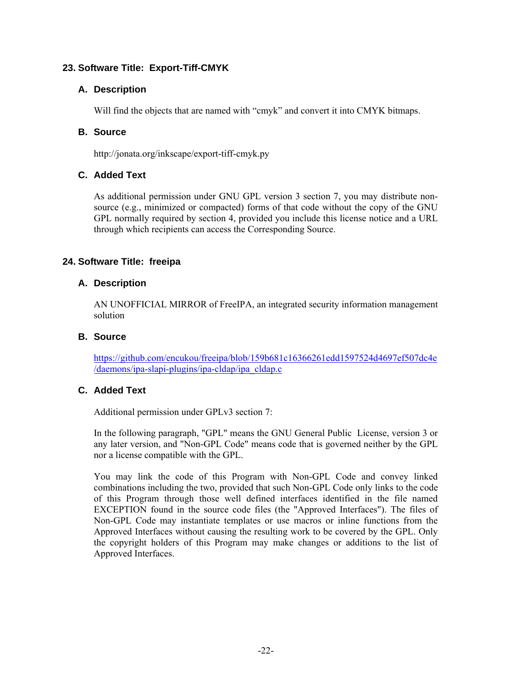# **23. Software Title: Export-Tiff-CMYK**

# **A. Description**

Will find the objects that are named with "cmyk" and convert it into CMYK bitmaps.

# **B. Source**

http://jonata.org/inkscape/export-tiff-cmyk.py

# **C. Added Text**

As additional permission under GNU GPL version 3 section 7, you may distribute nonsource (e.g., minimized or compacted) forms of that code without the copy of the GNU GPL normally required by section 4, provided you include this license notice and a URL through which recipients can access the Corresponding Source.

# **24. Software Title: freeipa**

# **A. Description**

AN UNOFFICIAL MIRROR of FreeIPA, an integrated security information management solution

# **B. Source**

https://github.com/encukou/freeipa/blob/159b681c16366261edd1597524d4697ef507dc4e /daemons/ipa-slapi-plugins/ipa-cldap/ipa\_cldap.c

# **C. Added Text**

Additional permission under GPLv3 section 7:

In the following paragraph, "GPL" means the GNU General Public License, version 3 or any later version, and "Non-GPL Code" means code that is governed neither by the GPL nor a license compatible with the GPL.

You may link the code of this Program with Non-GPL Code and convey linked combinations including the two, provided that such Non-GPL Code only links to the code of this Program through those well defined interfaces identified in the file named EXCEPTION found in the source code files (the "Approved Interfaces"). The files of Non-GPL Code may instantiate templates or use macros or inline functions from the Approved Interfaces without causing the resulting work to be covered by the GPL. Only the copyright holders of this Program may make changes or additions to the list of Approved Interfaces.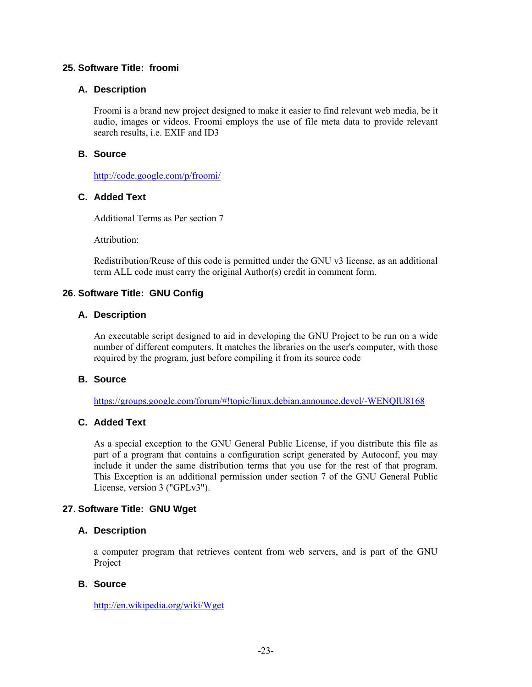### **25. Software Title: froomi**

#### **A. Description**

Froomi is a brand new project designed to make it easier to find relevant web media, be it audio, images or videos. Froomi employs the use of file meta data to provide relevant search results, i.e. EXIF and ID3

### **B. Source**

http://code.google.com/p/froomi/

## **C. Added Text**

Additional Terms as Per section 7

Attribution:

Redistribution/Reuse of this code is permitted under the GNU v3 license, as an additional term ALL code must carry the original Author(s) credit in comment form.

### **26. Software Title: GNU Config**

#### **A. Description**

An executable script designed to aid in developing the GNU Project to be run on a wide number of different computers. It matches the libraries on the user's computer, with those required by the program, just before compiling it from its source code

#### **B. Source**

https://groups.google.com/forum/#!topic/linux.debian.announce.devel/-WENQlU8168

# **C. Added Text**

As a special exception to the GNU General Public License, if you distribute this file as part of a program that contains a configuration script generated by Autoconf, you may include it under the same distribution terms that you use for the rest of that program. This Exception is an additional permission under section 7 of the GNU General Public License, version 3 ("GPLv3").

# **27. Software Title: GNU Wget**

#### **A. Description**

a computer program that retrieves content from web servers, and is part of the GNU Project

#### **B. Source**

http://en.wikipedia.org/wiki/Wget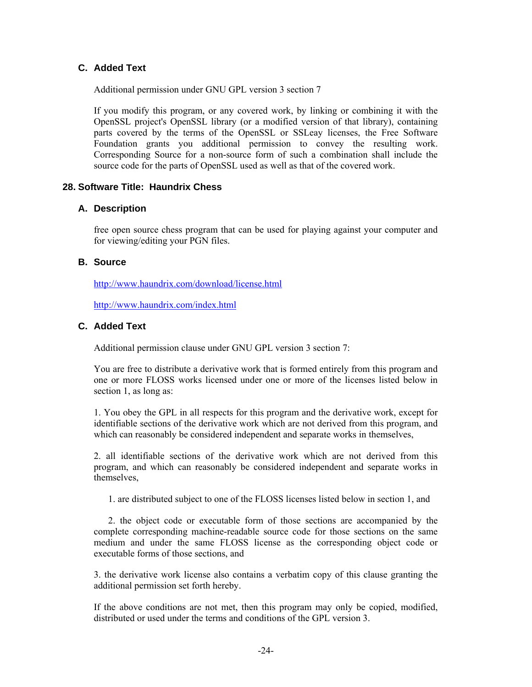# **C. Added Text**

Additional permission under GNU GPL version 3 section 7

If you modify this program, or any covered work, by linking or combining it with the OpenSSL project's OpenSSL library (or a modified version of that library), containing parts covered by the terms of the OpenSSL or SSLeay licenses, the Free Software Foundation grants you additional permission to convey the resulting work. Corresponding Source for a non-source form of such a combination shall include the source code for the parts of OpenSSL used as well as that of the covered work.

## **28. Software Title: Haundrix Chess**

#### **A. Description**

free open source chess program that can be used for playing against your computer and for viewing/editing your PGN files.

#### **B. Source**

http://www.haundrix.com/download/license.html

http://www.haundrix.com/index.html

#### **C. Added Text**

Additional permission clause under GNU GPL version 3 section 7:

You are free to distribute a derivative work that is formed entirely from this program and one or more FLOSS works licensed under one or more of the licenses listed below in section 1, as long as:

1. You obey the GPL in all respects for this program and the derivative work, except for identifiable sections of the derivative work which are not derived from this program, and which can reasonably be considered independent and separate works in themselves,

2. all identifiable sections of the derivative work which are not derived from this program, and which can reasonably be considered independent and separate works in themselves,

1. are distributed subject to one of the FLOSS licenses listed below in section 1, and

 2. the object code or executable form of those sections are accompanied by the complete corresponding machine-readable source code for those sections on the same medium and under the same FLOSS license as the corresponding object code or executable forms of those sections, and

3. the derivative work license also contains a verbatim copy of this clause granting the additional permission set forth hereby.

If the above conditions are not met, then this program may only be copied, modified, distributed or used under the terms and conditions of the GPL version 3.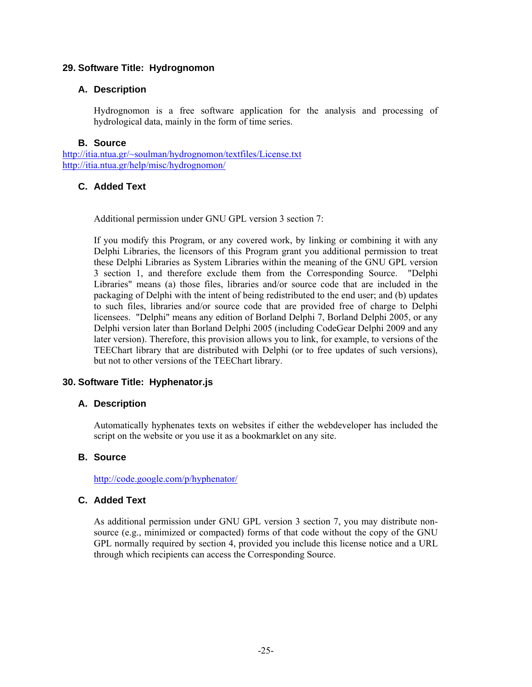### **29. Software Title: Hydrognomon**

### **A. Description**

Hydrognomon is a free software application for the analysis and processing of hydrological data, mainly in the form of time series.

#### **B. Source**

http://itia.ntua.gr/~soulman/hydrognomon/textfiles/License.txt http://itia.ntua.gr/help/misc/hydrognomon/

# **C. Added Text**

Additional permission under GNU GPL version 3 section 7:

If you modify this Program, or any covered work, by linking or combining it with any Delphi Libraries, the licensors of this Program grant you additional permission to treat these Delphi Libraries as System Libraries within the meaning of the GNU GPL version 3 section 1, and therefore exclude them from the Corresponding Source. "Delphi Libraries" means (a) those files, libraries and/or source code that are included in the packaging of Delphi with the intent of being redistributed to the end user; and (b) updates to such files, libraries and/or source code that are provided free of charge to Delphi licensees. "Delphi" means any edition of Borland Delphi 7, Borland Delphi 2005, or any Delphi version later than Borland Delphi 2005 (including CodeGear Delphi 2009 and any later version). Therefore, this provision allows you to link, for example, to versions of the TEEChart library that are distributed with Delphi (or to free updates of such versions), but not to other versions of the TEEChart library.

# **30. Software Title: Hyphenator.js**

#### **A. Description**

Automatically hyphenates texts on websites if either the webdeveloper has included the script on the website or you use it as a bookmarklet on any site.

# **B. Source**

http://code.google.com/p/hyphenator/

#### **C. Added Text**

As additional permission under GNU GPL version 3 section 7, you may distribute nonsource (e.g., minimized or compacted) forms of that code without the copy of the GNU GPL normally required by section 4, provided you include this license notice and a URL through which recipients can access the Corresponding Source.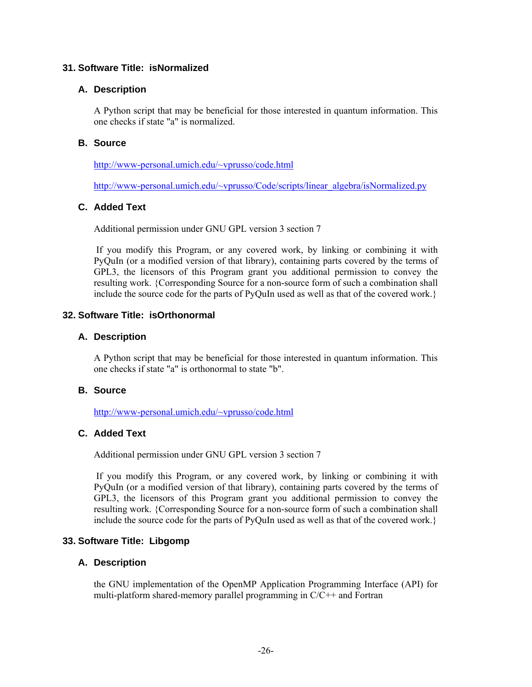### **31. Software Title: isNormalized**

### **A. Description**

A Python script that may be beneficial for those interested in quantum information. This one checks if state "a" is normalized.

### **B. Source**

http://www-personal.umich.edu/~vprusso/code.html

http://www-personal.umich.edu/~vprusso/Code/scripts/linear\_algebra/isNormalized.py

# **C. Added Text**

Additional permission under GNU GPL version 3 section 7

 If you modify this Program, or any covered work, by linking or combining it with PyQuIn (or a modified version of that library), containing parts covered by the terms of GPL3, the licensors of this Program grant you additional permission to convey the resulting work. {Corresponding Source for a non-source form of such a combination shall include the source code for the parts of PyQuIn used as well as that of the covered work.}

## **32. Software Title: isOrthonormal**

#### **A. Description**

A Python script that may be beneficial for those interested in quantum information. This one checks if state "a" is orthonormal to state "b".

#### **B. Source**

http://www-personal.umich.edu/~vprusso/code.html

#### **C. Added Text**

Additional permission under GNU GPL version 3 section 7

 If you modify this Program, or any covered work, by linking or combining it with PyQuIn (or a modified version of that library), containing parts covered by the terms of GPL3, the licensors of this Program grant you additional permission to convey the resulting work. {Corresponding Source for a non-source form of such a combination shall include the source code for the parts of PyQuIn used as well as that of the covered work.}

#### **33. Software Title: Libgomp**

#### **A. Description**

the GNU implementation of the OpenMP Application Programming Interface (API) for multi-platform shared-memory parallel programming in C/C++ and Fortran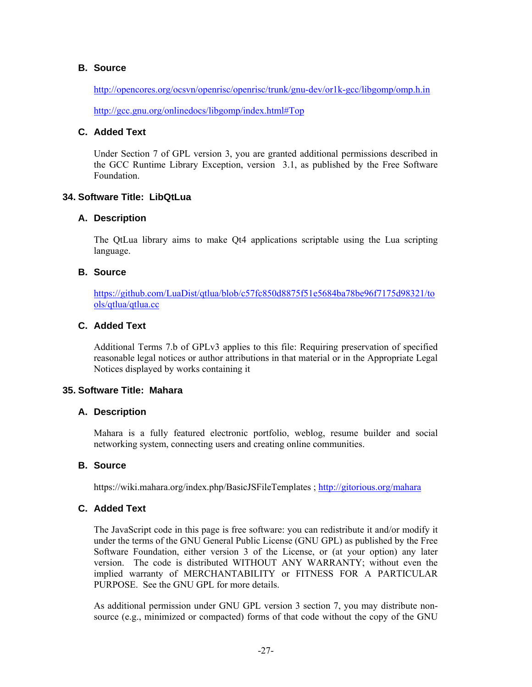### **B. Source**

http://opencores.org/ocsvn/openrisc/openrisc/trunk/gnu-dev/or1k-gcc/libgomp/omp.h.in

http://gcc.gnu.org/onlinedocs/libgomp/index.html#Top

# **C. Added Text**

Under Section 7 of GPL version 3, you are granted additional permissions described in the GCC Runtime Library Exception, version 3.1, as published by the Free Software Foundation.

# **34. Software Title: LibQtLua**

### **A. Description**

The QtLua library aims to make Qt4 applications scriptable using the Lua scripting language.

# **B. Source**

https://github.com/LuaDist/qtlua/blob/c57fc850d8875f51e5684ba78be96f7175d98321/to ols/qtlua/qtlua.cc

### **C. Added Text**

Additional Terms 7.b of GPLv3 applies to this file: Requiring preservation of specified reasonable legal notices or author attributions in that material or in the Appropriate Legal Notices displayed by works containing it

#### **35. Software Title: Mahara**

#### **A. Description**

Mahara is a fully featured electronic portfolio, weblog, resume builder and social networking system, connecting users and creating online communities.

#### **B. Source**

https://wiki.mahara.org/index.php/BasicJSFileTemplates ; http://gitorious.org/mahara

# **C. Added Text**

The JavaScript code in this page is free software: you can redistribute it and/or modify it under the terms of the GNU General Public License (GNU GPL) as published by the Free Software Foundation, either version 3 of the License, or (at your option) any later version. The code is distributed WITHOUT ANY WARRANTY; without even the implied warranty of MERCHANTABILITY or FITNESS FOR A PARTICULAR PURPOSE. See the GNU GPL for more details.

As additional permission under GNU GPL version 3 section 7, you may distribute nonsource (e.g., minimized or compacted) forms of that code without the copy of the GNU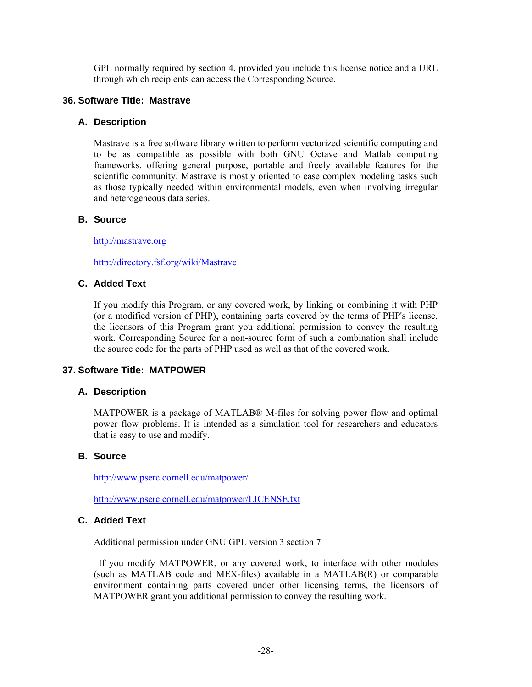GPL normally required by section 4, provided you include this license notice and a URL through which recipients can access the Corresponding Source.

### **36. Software Title: Mastrave**

#### **A. Description**

Mastrave is a free software library written to perform vectorized scientific computing and to be as compatible as possible with both GNU Octave and Matlab computing frameworks, offering general purpose, portable and freely available features for the scientific community. Mastrave is mostly oriented to ease complex modeling tasks such as those typically needed within environmental models, even when involving irregular and heterogeneous data series.

# **B. Source**

http://mastrave.org

http://directory.fsf.org/wiki/Mastrave

## **C. Added Text**

If you modify this Program, or any covered work, by linking or combining it with PHP (or a modified version of PHP), containing parts covered by the terms of PHP's license, the licensors of this Program grant you additional permission to convey the resulting work. Corresponding Source for a non-source form of such a combination shall include the source code for the parts of PHP used as well as that of the covered work.

#### **37. Software Title: MATPOWER**

#### **A. Description**

MATPOWER is a package of MATLAB® M-files for solving power flow and optimal power flow problems. It is intended as a simulation tool for researchers and educators that is easy to use and modify.

#### **B. Source**

http://www.pserc.cornell.edu/matpower/

http://www.pserc.cornell.edu/matpower/LICENSE.txt

# **C. Added Text**

Additional permission under GNU GPL version 3 section 7

 If you modify MATPOWER, or any covered work, to interface with other modules (such as MATLAB code and MEX-files) available in a MATLAB(R) or comparable environment containing parts covered under other licensing terms, the licensors of MATPOWER grant you additional permission to convey the resulting work.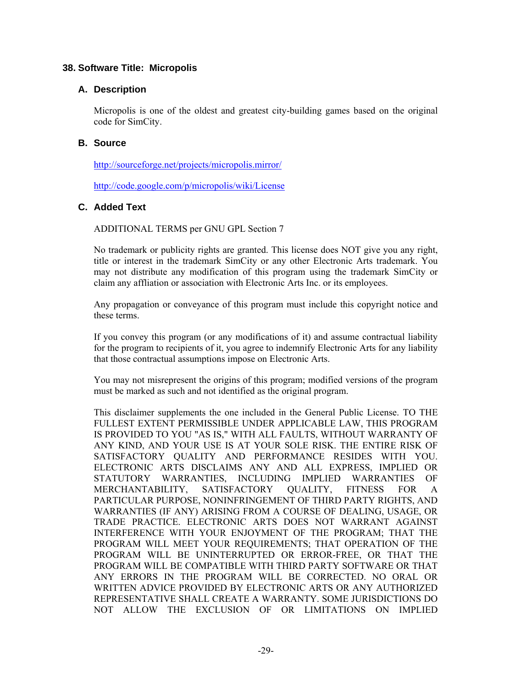### **38. Software Title: Micropolis**

### **A. Description**

Micropolis is one of the oldest and greatest city-building games based on the original code for SimCity.

### **B. Source**

http://sourceforge.net/projects/micropolis.mirror/

http://code.google.com/p/micropolis/wiki/License

# **C. Added Text**

ADDITIONAL TERMS per GNU GPL Section 7

No trademark or publicity rights are granted. This license does NOT give you any right, title or interest in the trademark SimCity or any other Electronic Arts trademark. You may not distribute any modification of this program using the trademark SimCity or claim any affliation or association with Electronic Arts Inc. or its employees.

Any propagation or conveyance of this program must include this copyright notice and these terms.

If you convey this program (or any modifications of it) and assume contractual liability for the program to recipients of it, you agree to indemnify Electronic Arts for any liability that those contractual assumptions impose on Electronic Arts.

You may not misrepresent the origins of this program; modified versions of the program must be marked as such and not identified as the original program.

This disclaimer supplements the one included in the General Public License. TO THE FULLEST EXTENT PERMISSIBLE UNDER APPLICABLE LAW, THIS PROGRAM IS PROVIDED TO YOU "AS IS," WITH ALL FAULTS, WITHOUT WARRANTY OF ANY KIND, AND YOUR USE IS AT YOUR SOLE RISK. THE ENTIRE RISK OF SATISFACTORY QUALITY AND PERFORMANCE RESIDES WITH YOU. ELECTRONIC ARTS DISCLAIMS ANY AND ALL EXPRESS, IMPLIED OR STATUTORY WARRANTIES, INCLUDING IMPLIED WARRANTIES OF MERCHANTABILITY, SATISFACTORY QUALITY, FITNESS FOR A PARTICULAR PURPOSE, NONINFRINGEMENT OF THIRD PARTY RIGHTS, AND WARRANTIES (IF ANY) ARISING FROM A COURSE OF DEALING, USAGE, OR TRADE PRACTICE. ELECTRONIC ARTS DOES NOT WARRANT AGAINST INTERFERENCE WITH YOUR ENJOYMENT OF THE PROGRAM; THAT THE PROGRAM WILL MEET YOUR REQUIREMENTS; THAT OPERATION OF THE PROGRAM WILL BE UNINTERRUPTED OR ERROR-FREE, OR THAT THE PROGRAM WILL BE COMPATIBLE WITH THIRD PARTY SOFTWARE OR THAT ANY ERRORS IN THE PROGRAM WILL BE CORRECTED. NO ORAL OR WRITTEN ADVICE PROVIDED BY ELECTRONIC ARTS OR ANY AUTHORIZED REPRESENTATIVE SHALL CREATE A WARRANTY. SOME JURISDICTIONS DO NOT ALLOW THE EXCLUSION OF OR LIMITATIONS ON IMPLIED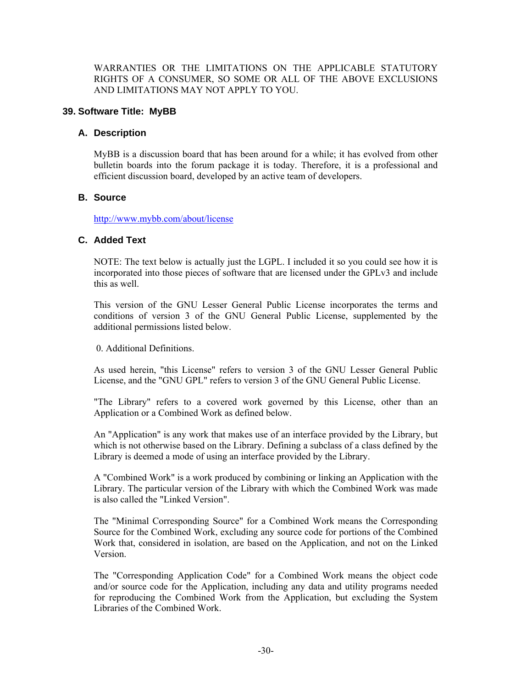WARRANTIES OR THE LIMITATIONS ON THE APPLICABLE STATUTORY RIGHTS OF A CONSUMER, SO SOME OR ALL OF THE ABOVE EXCLUSIONS AND LIMITATIONS MAY NOT APPLY TO YOU.

### **39. Software Title: MyBB**

#### **A. Description**

MyBB is a discussion board that has been around for a while; it has evolved from other bulletin boards into the forum package it is today. Therefore, it is a professional and efficient discussion board, developed by an active team of developers.

### **B. Source**

http://www.mybb.com/about/license

#### **C. Added Text**

NOTE: The text below is actually just the LGPL. I included it so you could see how it is incorporated into those pieces of software that are licensed under the GPLv3 and include this as well.

This version of the GNU Lesser General Public License incorporates the terms and conditions of version 3 of the GNU General Public License, supplemented by the additional permissions listed below.

0. Additional Definitions.

As used herein, "this License" refers to version 3 of the GNU Lesser General Public License, and the "GNU GPL" refers to version 3 of the GNU General Public License.

"The Library" refers to a covered work governed by this License, other than an Application or a Combined Work as defined below.

An "Application" is any work that makes use of an interface provided by the Library, but which is not otherwise based on the Library. Defining a subclass of a class defined by the Library is deemed a mode of using an interface provided by the Library.

A "Combined Work" is a work produced by combining or linking an Application with the Library. The particular version of the Library with which the Combined Work was made is also called the "Linked Version".

The "Minimal Corresponding Source" for a Combined Work means the Corresponding Source for the Combined Work, excluding any source code for portions of the Combined Work that, considered in isolation, are based on the Application, and not on the Linked Version.

The "Corresponding Application Code" for a Combined Work means the object code and/or source code for the Application, including any data and utility programs needed for reproducing the Combined Work from the Application, but excluding the System Libraries of the Combined Work.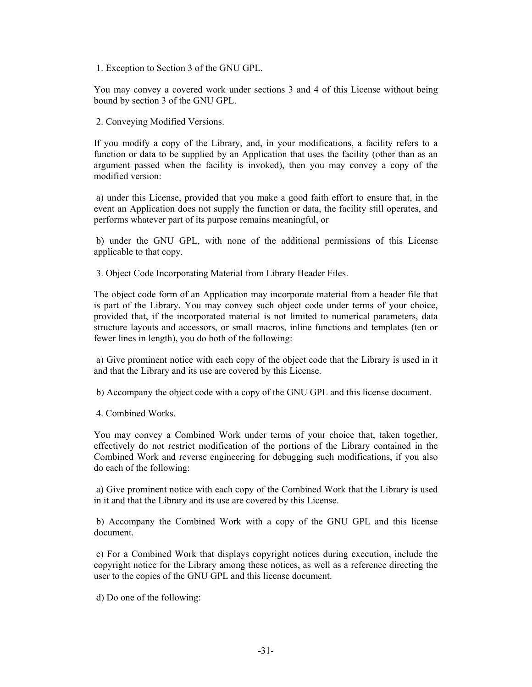1. Exception to Section 3 of the GNU GPL.

You may convey a covered work under sections 3 and 4 of this License without being bound by section 3 of the GNU GPL.

2. Conveying Modified Versions.

If you modify a copy of the Library, and, in your modifications, a facility refers to a function or data to be supplied by an Application that uses the facility (other than as an argument passed when the facility is invoked), then you may convey a copy of the modified version:

 a) under this License, provided that you make a good faith effort to ensure that, in the event an Application does not supply the function or data, the facility still operates, and performs whatever part of its purpose remains meaningful, or

 b) under the GNU GPL, with none of the additional permissions of this License applicable to that copy.

3. Object Code Incorporating Material from Library Header Files.

The object code form of an Application may incorporate material from a header file that is part of the Library. You may convey such object code under terms of your choice, provided that, if the incorporated material is not limited to numerical parameters, data structure layouts and accessors, or small macros, inline functions and templates (ten or fewer lines in length), you do both of the following:

 a) Give prominent notice with each copy of the object code that the Library is used in it and that the Library and its use are covered by this License.

b) Accompany the object code with a copy of the GNU GPL and this license document.

4. Combined Works.

You may convey a Combined Work under terms of your choice that, taken together, effectively do not restrict modification of the portions of the Library contained in the Combined Work and reverse engineering for debugging such modifications, if you also do each of the following:

 a) Give prominent notice with each copy of the Combined Work that the Library is used in it and that the Library and its use are covered by this License.

 b) Accompany the Combined Work with a copy of the GNU GPL and this license document.

 c) For a Combined Work that displays copyright notices during execution, include the copyright notice for the Library among these notices, as well as a reference directing the user to the copies of the GNU GPL and this license document.

d) Do one of the following: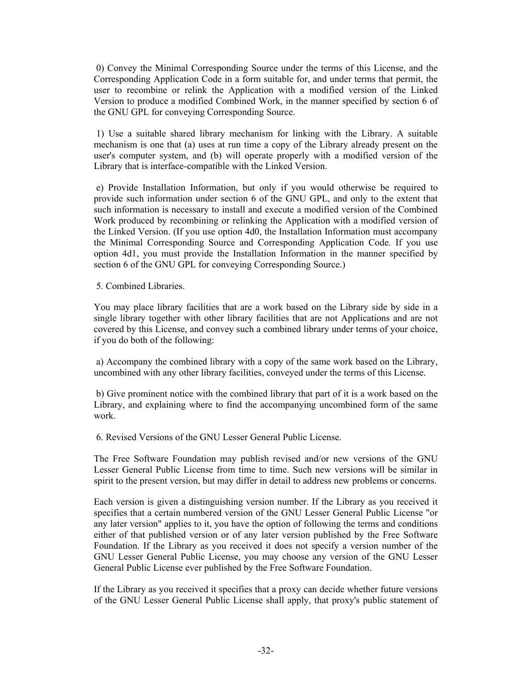0) Convey the Minimal Corresponding Source under the terms of this License, and the Corresponding Application Code in a form suitable for, and under terms that permit, the user to recombine or relink the Application with a modified version of the Linked Version to produce a modified Combined Work, in the manner specified by section 6 of the GNU GPL for conveying Corresponding Source.

 1) Use a suitable shared library mechanism for linking with the Library. A suitable mechanism is one that (a) uses at run time a copy of the Library already present on the user's computer system, and (b) will operate properly with a modified version of the Library that is interface-compatible with the Linked Version.

 e) Provide Installation Information, but only if you would otherwise be required to provide such information under section 6 of the GNU GPL, and only to the extent that such information is necessary to install and execute a modified version of the Combined Work produced by recombining or relinking the Application with a modified version of the Linked Version. (If you use option 4d0, the Installation Information must accompany the Minimal Corresponding Source and Corresponding Application Code. If you use option 4d1, you must provide the Installation Information in the manner specified by section 6 of the GNU GPL for conveying Corresponding Source.)

5. Combined Libraries.

You may place library facilities that are a work based on the Library side by side in a single library together with other library facilities that are not Applications and are not covered by this License, and convey such a combined library under terms of your choice, if you do both of the following:

 a) Accompany the combined library with a copy of the same work based on the Library, uncombined with any other library facilities, conveyed under the terms of this License.

 b) Give prominent notice with the combined library that part of it is a work based on the Library, and explaining where to find the accompanying uncombined form of the same work.

6. Revised Versions of the GNU Lesser General Public License.

The Free Software Foundation may publish revised and/or new versions of the GNU Lesser General Public License from time to time. Such new versions will be similar in spirit to the present version, but may differ in detail to address new problems or concerns.

Each version is given a distinguishing version number. If the Library as you received it specifies that a certain numbered version of the GNU Lesser General Public License "or any later version" applies to it, you have the option of following the terms and conditions either of that published version or of any later version published by the Free Software Foundation. If the Library as you received it does not specify a version number of the GNU Lesser General Public License, you may choose any version of the GNU Lesser General Public License ever published by the Free Software Foundation.

If the Library as you received it specifies that a proxy can decide whether future versions of the GNU Lesser General Public License shall apply, that proxy's public statement of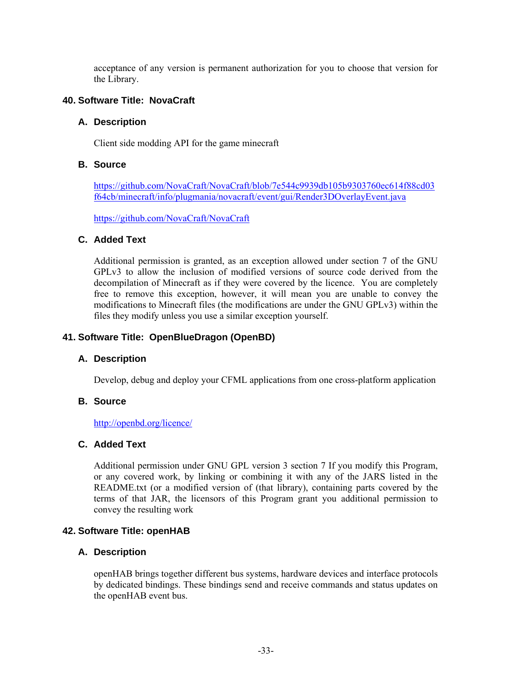acceptance of any version is permanent authorization for you to choose that version for the Library.

### **40. Software Title: NovaCraft**

#### **A. Description**

Client side modding API for the game minecraft

### **B. Source**

https://github.com/NovaCraft/NovaCraft/blob/7e544c9939db105b9303760ec614f88cd03 f64cb/minecraft/info/plugmania/novacraft/event/gui/Render3DOverlayEvent.java

https://github.com/NovaCraft/NovaCraft

### **C. Added Text**

Additional permission is granted, as an exception allowed under section 7 of the GNU GPLv3 to allow the inclusion of modified versions of source code derived from the decompilation of Minecraft as if they were covered by the licence. You are completely free to remove this exception, however, it will mean you are unable to convey the modifications to Minecraft files (the modifications are under the GNU GPLv3) within the files they modify unless you use a similar exception yourself.

### **41. Software Title: OpenBlueDragon (OpenBD)**

#### **A. Description**

Develop, debug and deploy your CFML applications from one cross-platform application

#### **B. Source**

#### http://openbd.org/licence/

# **C. Added Text**

Additional permission under GNU GPL version 3 section 7 If you modify this Program, or any covered work, by linking or combining it with any of the JARS listed in the README.txt (or a modified version of (that library), containing parts covered by the terms of that JAR, the licensors of this Program grant you additional permission to convey the resulting work

#### **42. Software Title: openHAB**

#### **A. Description**

openHAB brings together different bus systems, hardware devices and interface protocols by dedicated bindings. These bindings send and receive commands and status updates on the openHAB event bus.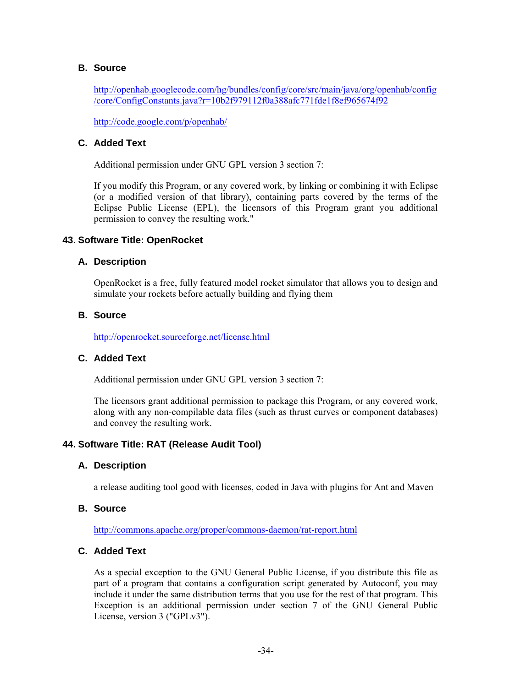### **B. Source**

http://openhab.googlecode.com/hg/bundles/config/core/src/main/java/org/openhab/config /core/ConfigConstants.java?r=10b2f979112f0a388afc771fde1f8ef965674f92

http://code.google.com/p/openhab/

# **C. Added Text**

Additional permission under GNU GPL version 3 section 7:

If you modify this Program, or any covered work, by linking or combining it with Eclipse (or a modified version of that library), containing parts covered by the terms of the Eclipse Public License (EPL), the licensors of this Program grant you additional permission to convey the resulting work."

#### **43. Software Title: OpenRocket**

#### **A. Description**

OpenRocket is a free, fully featured model rocket simulator that allows you to design and simulate your rockets before actually building and flying them

## **B. Source**

http://openrocket.sourceforge.net/license.html

### **C. Added Text**

Additional permission under GNU GPL version 3 section 7:

The licensors grant additional permission to package this Program, or any covered work, along with any non-compilable data files (such as thrust curves or component databases) and convey the resulting work.

#### **44. Software Title: RAT (Release Audit Tool)**

#### **A. Description**

a release auditing tool good with licenses, coded in Java with plugins for Ant and Maven

#### **B. Source**

http://commons.apache.org/proper/commons-daemon/rat-report.html

### **C. Added Text**

As a special exception to the GNU General Public License, if you distribute this file as part of a program that contains a configuration script generated by Autoconf, you may include it under the same distribution terms that you use for the rest of that program. This Exception is an additional permission under section 7 of the GNU General Public License, version 3 ("GPLv3").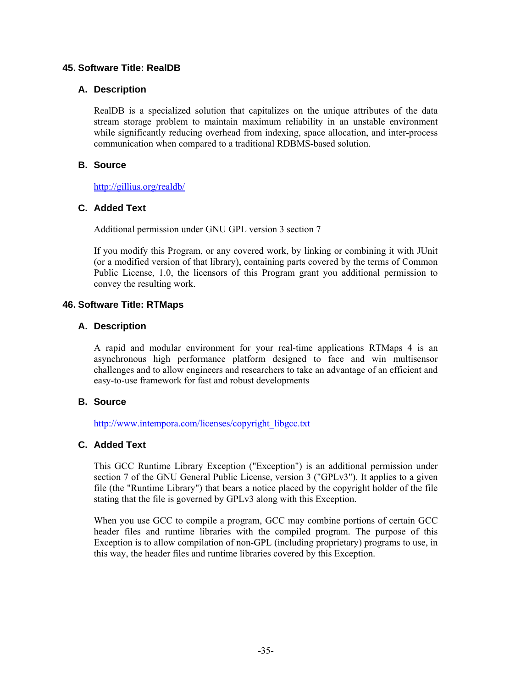### **45. Software Title: RealDB**

### **A. Description**

RealDB is a specialized solution that capitalizes on the unique attributes of the data stream storage problem to maintain maximum reliability in an unstable environment while significantly reducing overhead from indexing, space allocation, and inter-process communication when compared to a traditional RDBMS-based solution.

# **B. Source**

http://gillius.org/realdb/

### **C. Added Text**

Additional permission under GNU GPL version 3 section 7

If you modify this Program, or any covered work, by linking or combining it with JUnit (or a modified version of that library), containing parts covered by the terms of Common Public License, 1.0, the licensors of this Program grant you additional permission to convey the resulting work.

### **46. Software Title: RTMaps**

#### **A. Description**

A rapid and modular environment for your real-time applications RTMaps 4 is an asynchronous high performance platform designed to face and win multisensor challenges and to allow engineers and researchers to take an advantage of an efficient and easy-to-use framework for fast and robust developments

### **B. Source**

http://www.intempora.com/licenses/copyright\_libgcc.txt

# **C. Added Text**

This GCC Runtime Library Exception ("Exception") is an additional permission under section 7 of the GNU General Public License, version 3 ("GPLv3"). It applies to a given file (the "Runtime Library") that bears a notice placed by the copyright holder of the file stating that the file is governed by GPLv3 along with this Exception.

When you use GCC to compile a program, GCC may combine portions of certain GCC header files and runtime libraries with the compiled program. The purpose of this Exception is to allow compilation of non-GPL (including proprietary) programs to use, in this way, the header files and runtime libraries covered by this Exception.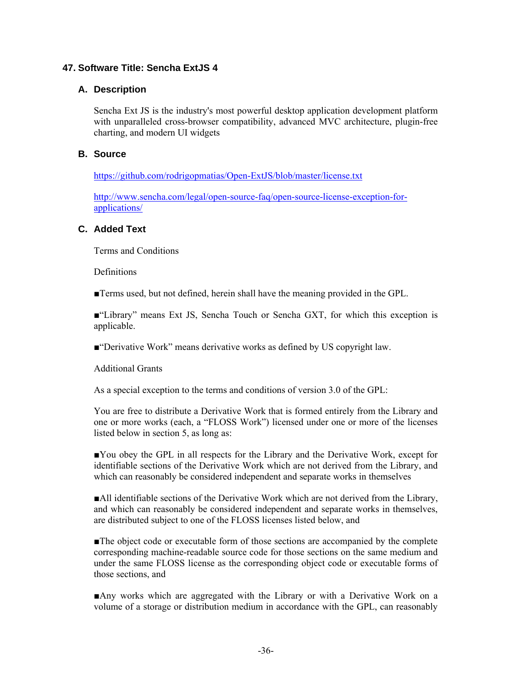# **47. Software Title: Sencha ExtJS 4**

### **A. Description**

Sencha Ext JS is the industry's most powerful desktop application development platform with unparalleled cross-browser compatibility, advanced MVC architecture, plugin-free charting, and modern UI widgets

### **B. Source**

https://github.com/rodrigopmatias/Open-ExtJS/blob/master/license.txt

http://www.sencha.com/legal/open-source-faq/open-source-license-exception-forapplications/

### **C. Added Text**

Terms and Conditions

**Definitions** 

■Terms used, but not defined, herein shall have the meaning provided in the GPL.

■"Library" means Ext JS, Sencha Touch or Sencha GXT, for which this exception is applicable.

■"Derivative Work" means derivative works as defined by US copyright law.

Additional Grants

As a special exception to the terms and conditions of version 3.0 of the GPL:

You are free to distribute a Derivative Work that is formed entirely from the Library and one or more works (each, a "FLOSS Work") licensed under one or more of the licenses listed below in section 5, as long as:

■You obey the GPL in all respects for the Library and the Derivative Work, except for identifiable sections of the Derivative Work which are not derived from the Library, and which can reasonably be considered independent and separate works in themselves

■All identifiable sections of the Derivative Work which are not derived from the Library, and which can reasonably be considered independent and separate works in themselves, are distributed subject to one of the FLOSS licenses listed below, and

■The object code or executable form of those sections are accompanied by the complete corresponding machine-readable source code for those sections on the same medium and under the same FLOSS license as the corresponding object code or executable forms of those sections, and

■Any works which are aggregated with the Library or with a Derivative Work on a volume of a storage or distribution medium in accordance with the GPL, can reasonably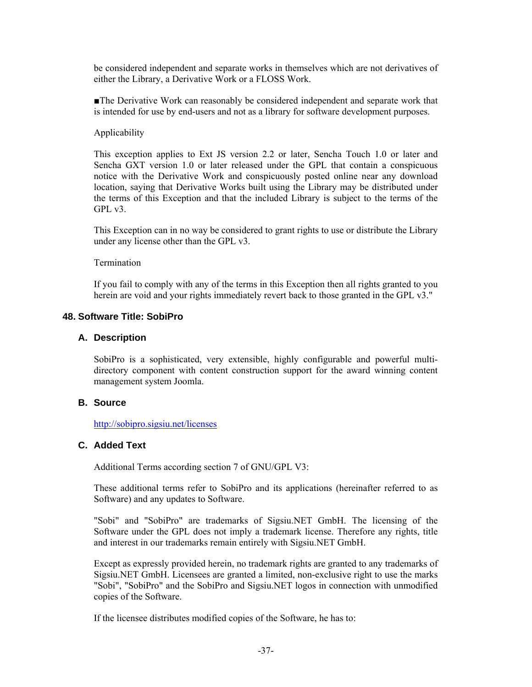be considered independent and separate works in themselves which are not derivatives of either the Library, a Derivative Work or a FLOSS Work.

■The Derivative Work can reasonably be considered independent and separate work that is intended for use by end-users and not as a library for software development purposes.

#### Applicability

This exception applies to Ext JS version 2.2 or later, Sencha Touch 1.0 or later and Sencha GXT version 1.0 or later released under the GPL that contain a conspicuous notice with the Derivative Work and conspicuously posted online near any download location, saying that Derivative Works built using the Library may be distributed under the terms of this Exception and that the included Library is subject to the terms of the GPL v3.

This Exception can in no way be considered to grant rights to use or distribute the Library under any license other than the GPL v3.

Termination

If you fail to comply with any of the terms in this Exception then all rights granted to you herein are void and your rights immediately revert back to those granted in the GPL v3."

#### **48. Software Title: SobiPro**

#### **A. Description**

SobiPro is a sophisticated, very extensible, highly configurable and powerful multidirectory component with content construction support for the award winning content management system Joomla.

### **B. Source**

http://sobipro.sigsiu.net/licenses

### **C. Added Text**

Additional Terms according section 7 of GNU/GPL V3:

These additional terms refer to SobiPro and its applications (hereinafter referred to as Software) and any updates to Software.

"Sobi" and "SobiPro" are trademarks of Sigsiu.NET GmbH. The licensing of the Software under the GPL does not imply a trademark license. Therefore any rights, title and interest in our trademarks remain entirely with Sigsiu.NET GmbH.

Except as expressly provided herein, no trademark rights are granted to any trademarks of Sigsiu.NET GmbH. Licensees are granted a limited, non-exclusive right to use the marks "Sobi", "SobiPro" and the SobiPro and Sigsiu.NET logos in connection with unmodified copies of the Software.

If the licensee distributes modified copies of the Software, he has to: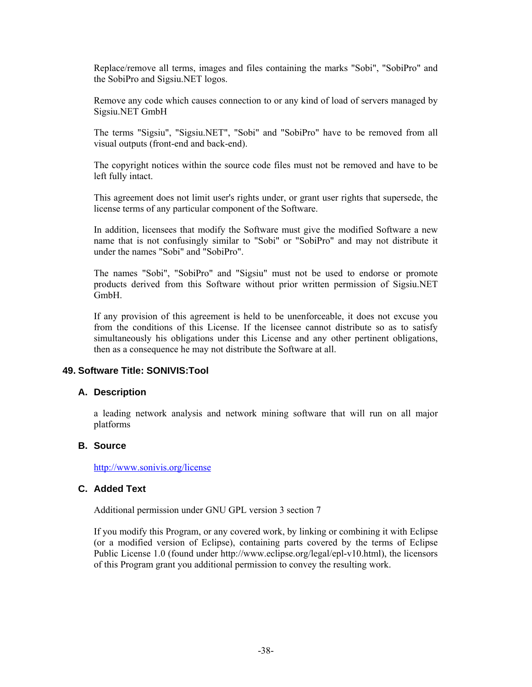Replace/remove all terms, images and files containing the marks "Sobi", "SobiPro" and the SobiPro and Sigsiu.NET logos.

Remove any code which causes connection to or any kind of load of servers managed by Sigsiu.NET GmbH

The terms "Sigsiu", "Sigsiu.NET", "Sobi" and "SobiPro" have to be removed from all visual outputs (front-end and back-end).

The copyright notices within the source code files must not be removed and have to be left fully intact.

This agreement does not limit user's rights under, or grant user rights that supersede, the license terms of any particular component of the Software.

In addition, licensees that modify the Software must give the modified Software a new name that is not confusingly similar to "Sobi" or "SobiPro" and may not distribute it under the names "Sobi" and "SobiPro".

The names "Sobi", "SobiPro" and "Sigsiu" must not be used to endorse or promote products derived from this Software without prior written permission of Sigsiu.NET GmbH.

If any provision of this agreement is held to be unenforceable, it does not excuse you from the conditions of this License. If the licensee cannot distribute so as to satisfy simultaneously his obligations under this License and any other pertinent obligations, then as a consequence he may not distribute the Software at all.

#### **49. Software Title: SONIVIS:Tool**

#### **A. Description**

a leading network analysis and network mining software that will run on all major platforms

### **B. Source**

http://www.sonivis.org/license

#### **C. Added Text**

Additional permission under GNU GPL version 3 section 7

If you modify this Program, or any covered work, by linking or combining it with Eclipse (or a modified version of Eclipse), containing parts covered by the terms of Eclipse Public License 1.0 (found under http://www.eclipse.org/legal/epl-v10.html), the licensors of this Program grant you additional permission to convey the resulting work.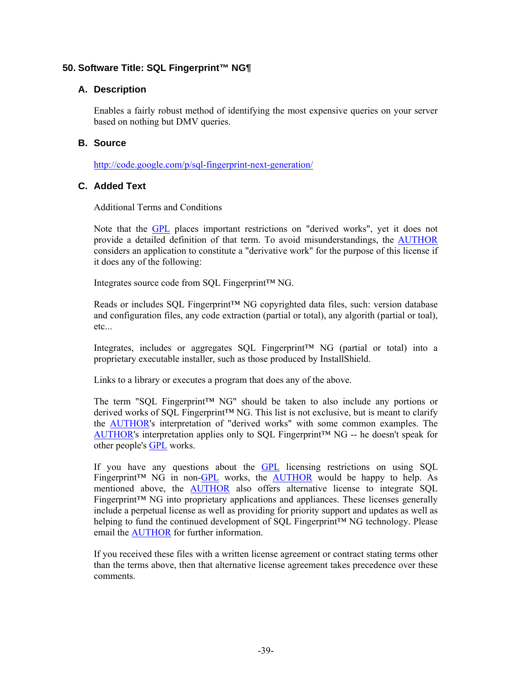# **50. Software Title: SQL Fingerprint™ NG¶**

# **A. Description**

Enables a fairly robust method of identifying the most expensive queries on your server based on nothing but DMV queries.

### **B. Source**

http://code.google.com/p/sql-fingerprint-next-generation/

# **C. Added Text**

Additional Terms and Conditions

Note that the GPL places important restrictions on "derived works", yet it does not provide a detailed definition of that term. To avoid misunderstandings, the AUTHOR considers an application to constitute a "derivative work" for the purpose of this license if it does any of the following:

Integrates source code from SQL Fingerprint™ NG.

Reads or includes SQL Fingerprint™ NG copyrighted data files, such: version database and configuration files, any code extraction (partial or total), any algorith (partial or toal), etc...

Integrates, includes or aggregates SQL Fingerprint™ NG (partial or total) into a proprietary executable installer, such as those produced by InstallShield.

Links to a library or executes a program that does any of the above.

The term "SQL Fingerprint™ NG" should be taken to also include any portions or derived works of SQL Fingerprint™ NG. This list is not exclusive, but is meant to clarify the AUTHOR's interpretation of "derived works" with some common examples. The AUTHOR's interpretation applies only to SQL Fingerprint™ NG -- he doesn't speak for other people's GPL works.

If you have any questions about the GPL licensing restrictions on using SQL Fingerprint<sup>™</sup> NG in non-GPL works, the AUTHOR would be happy to help. As mentioned above, the AUTHOR also offers alternative license to integrate SQL Fingerprint™ NG into proprietary applications and appliances. These licenses generally include a perpetual license as well as providing for priority support and updates as well as helping to fund the continued development of SQL Fingerprint™ NG technology. Please email the AUTHOR for further information.

If you received these files with a written license agreement or contract stating terms other than the terms above, then that alternative license agreement takes precedence over these comments.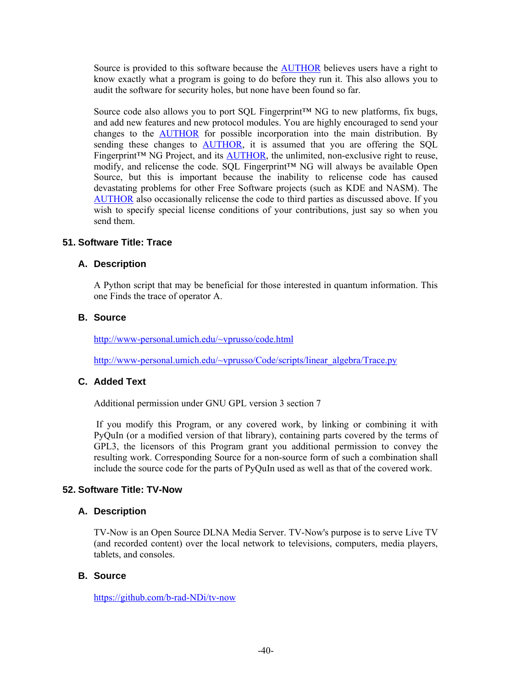Source is provided to this software because the AUTHOR believes users have a right to know exactly what a program is going to do before they run it. This also allows you to audit the software for security holes, but none have been found so far.

Source code also allows you to port SQL Fingerprint™ NG to new platforms, fix bugs, and add new features and new protocol modules. You are highly encouraged to send your changes to the **AUTHOR** for possible incorporation into the main distribution. By sending these changes to AUTHOR, it is assumed that you are offering the SQL Fingerprint<sup> $TM$ </sup> NG Project, and its  $AUTHOR$ , the unlimited, non-exclusive right to reuse, modify, and relicense the code. SQL Fingerprint™ NG will always be available Open Source, but this is important because the inability to relicense code has caused devastating problems for other Free Software projects (such as KDE and NASM). The AUTHOR also occasionally relicense the code to third parties as discussed above. If you wish to specify special license conditions of your contributions, just say so when you send them.

### **51. Software Title: Trace**

### **A. Description**

A Python script that may be beneficial for those interested in quantum information. This one Finds the trace of operator A.

#### **B. Source**

http://www-personal.umich.edu/~vprusso/code.html

http://www-personal.umich.edu/~vprusso/Code/scripts/linear\_algebra/Trace.py

# **C. Added Text**

Additional permission under GNU GPL version 3 section 7

 If you modify this Program, or any covered work, by linking or combining it with PyQuIn (or a modified version of that library), containing parts covered by the terms of GPL3, the licensors of this Program grant you additional permission to convey the resulting work. Corresponding Source for a non-source form of such a combination shall include the source code for the parts of PyQuIn used as well as that of the covered work.

#### **52. Software Title: TV-Now**

#### **A. Description**

TV-Now is an Open Source DLNA Media Server. TV-Now's purpose is to serve Live TV (and recorded content) over the local network to televisions, computers, media players, tablets, and consoles.

#### **B. Source**

https://github.com/b-rad-NDi/tv-now